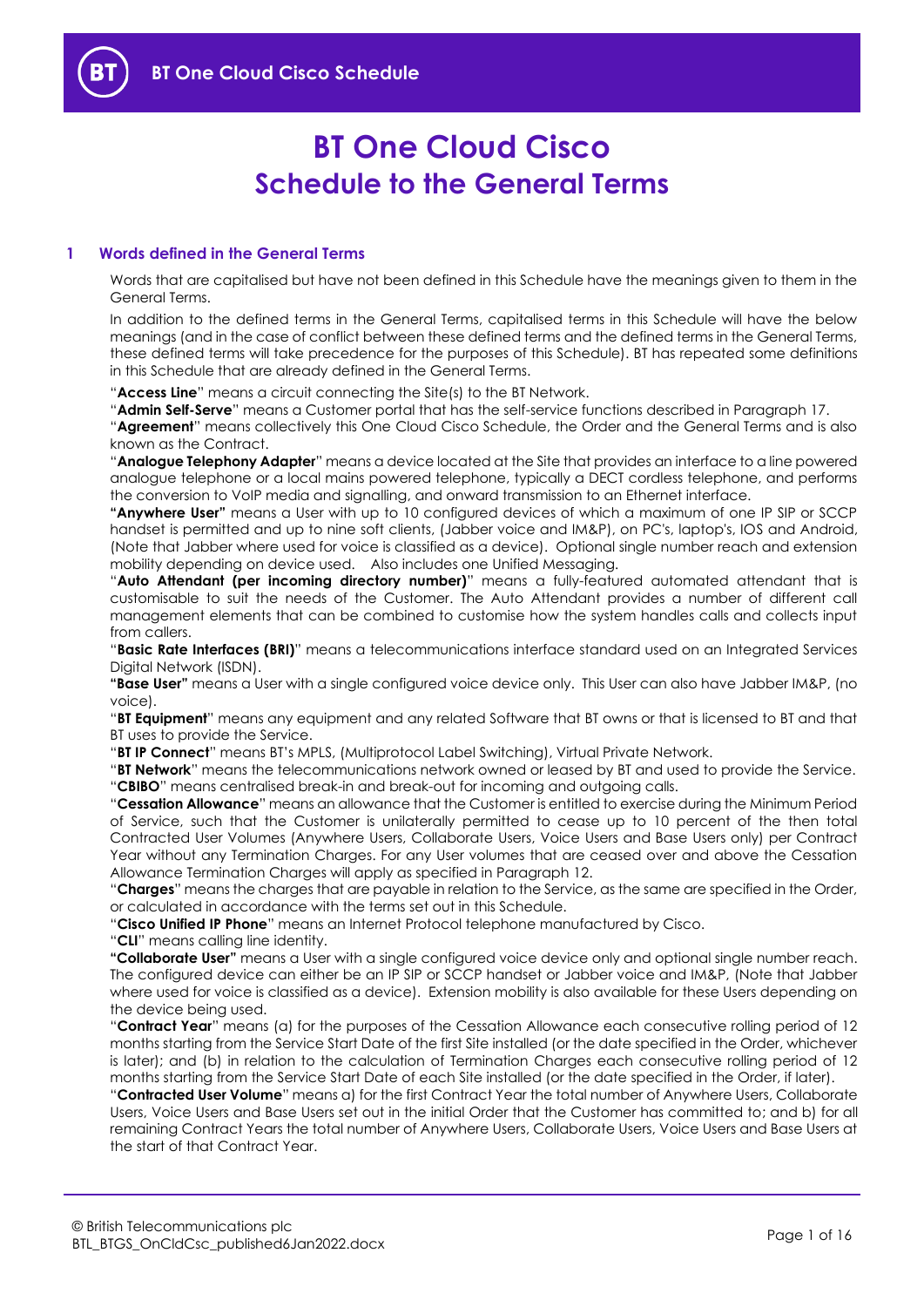

# **BT One Cloud Cisco Schedule to the General Terms**

## **1 Words defined in the General Terms**

Words that are capitalised but have not been defined in this Schedule have the meanings given to them in the General Terms.

In addition to the defined terms in the General Terms, capitalised terms in this Schedule will have the below meanings (and in the case of conflict between these defined terms and the defined terms in the General Terms, these defined terms will take precedence for the purposes of this Schedule). BT has repeated some definitions in this Schedule that are already defined in the General Terms.

"**Access Line**" means a circuit connecting the Site(s) to the BT Network.

"**Admin Self-Serve**" means a Customer portal that has the self-service functions described in Paragraph [17.](#page-12-0) "**Agreement**" means collectively this One Cloud Cisco Schedule, the Order and the General Terms and is also known as the Contract.

"**Analogue Telephony Adapter**" means a device located at the Site that provides an interface to a line powered analogue telephone or a local mains powered telephone, typically a DECT cordless telephone, and performs the conversion to VoIP media and signalling, and onward transmission to an Ethernet interface.

**"Anywhere User"** means a User with up to 10 configured devices of which a maximum of one IP SIP or SCCP handset is permitted and up to nine soft clients, (Jabber voice and IM&P), on PC's, laptop's, IOS and Android, (Note that Jabber where used for voice is classified as a device). Optional single number reach and extension mobility depending on device used. Also includes one Unified Messaging.

"**Auto Attendant (per incoming directory number)**" means a fully-featured automated attendant that is customisable to suit the needs of the Customer. The Auto Attendant provides a number of different call management elements that can be combined to customise how the system handles calls and collects input from callers.

"**Basic Rate Interfaces (BRI)**" means a telecommunications interface standard used on an Integrated Services Digital Network (ISDN).

**"Base User"** means a User with a single configured voice device only. This User can also have Jabber IM&P, (no voice).

"**BT Equipment**" means any equipment and any related Software that BT owns or that is licensed to BT and that BT uses to provide the Service.

"**BT IP Connect**" means BT's MPLS, (Multiprotocol Label Switching), Virtual Private Network.

"**BT Network**" means the telecommunications network owned or leased by BT and used to provide the Service. "**CBIBO**" means centralised break-in and break-out for incoming and outgoing calls.

"**Cessation Allowance**" means an allowance that the Customer is entitled to exercise during the Minimum Period of Service, such that the Customer is unilaterally permitted to cease up to 10 percent of the then total Contracted User Volumes (Anywhere Users, Collaborate Users, Voice Users and Base Users only) per Contract Year without any Termination Charges. For any User volumes that are ceased over and above the Cessation Allowance Termination Charges will apply as specified in Paragraph [12.](#page-9-0)

"**Charges**" means the charges that are payable in relation to the Service, as the same are specified in the Order, or calculated in accordance with the terms set out in this Schedule.

"**Cisco Unified IP Phone**" means an Internet Protocol telephone manufactured by Cisco.

"**CLI**" means calling line identity.

**"Collaborate User"** means a User with a single configured voice device only and optional single number reach. The configured device can either be an IP SIP or SCCP handset or Jabber voice and IM&P, (Note that Jabber where used for voice is classified as a device). Extension mobility is also available for these Users depending on the device being used.

"**Contract Year**" means (a) for the purposes of the Cessation Allowance each consecutive rolling period of 12 months starting from the Service Start Date of the first Site installed (or the date specified in the Order, whichever is later); and (b) in relation to the calculation of Termination Charges each consecutive rolling period of 12 months starting from the Service Start Date of each Site installed (or the date specified in the Order, if later).

"**Contracted User Volume**" means a) for the first Contract Year the total number of Anywhere Users, Collaborate Users, Voice Users and Base Users set out in the initial Order that the Customer has committed to; and b) for all remaining Contract Years the total number of Anywhere Users, Collaborate Users, Voice Users and Base Users at the start of that Contract Year.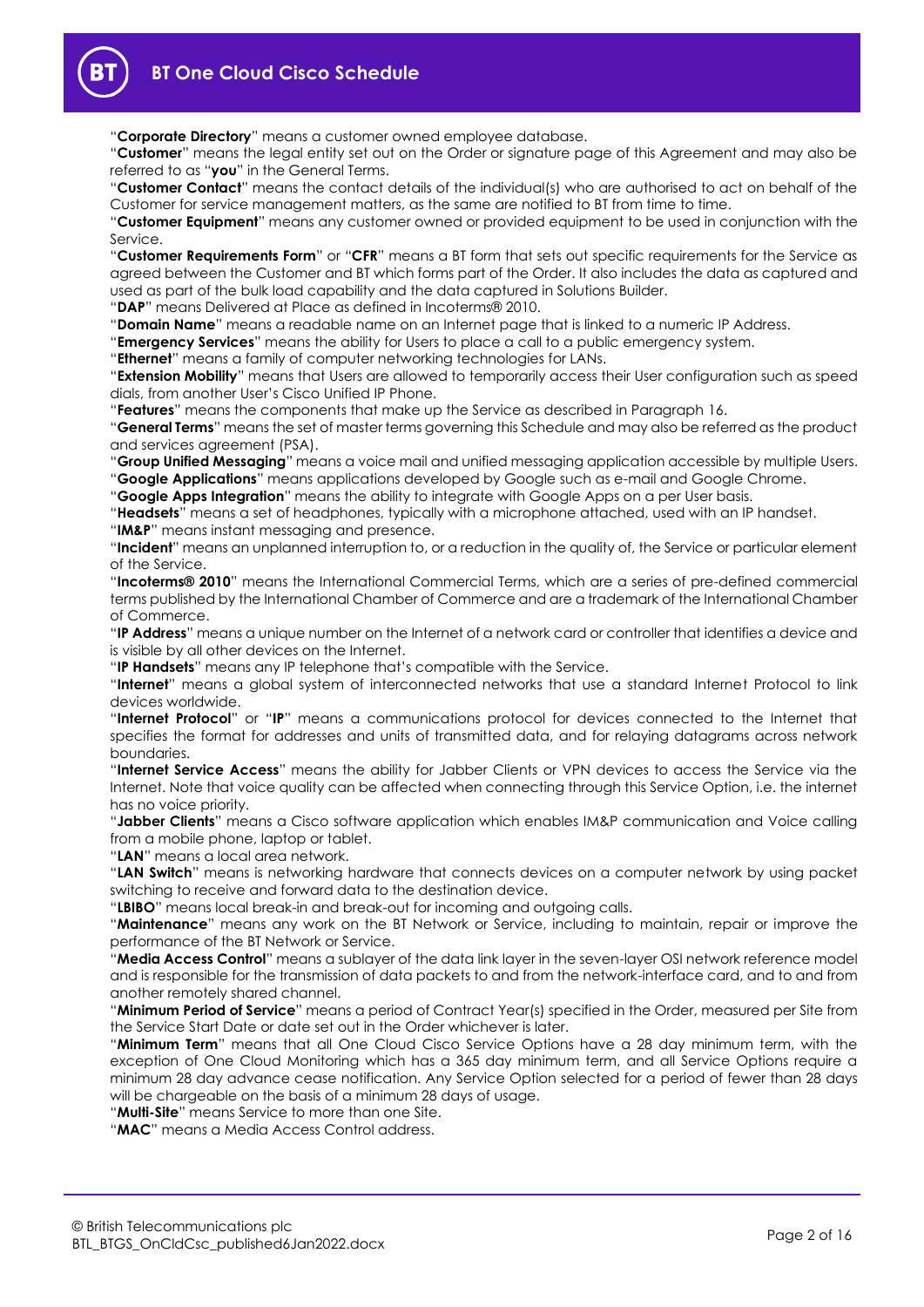"**Corporate Directory**" means a customer owned employee database.

"**Customer**" means the legal entity set out on the Order or signature page of this Agreement and may also be referred to as "**you**" in the General Terms.

"**Customer Contact**" means the contact details of the individual(s) who are authorised to act on behalf of the Customer for service management matters, as the same are notified to BT from time to time.

"**Customer Equipment**" means any customer owned or provided equipment to be used in conjunction with the Service.

"**Customer Requirements Form**" or "**CFR**" means a BT form that sets out specific requirements for the Service as agreed between the Customer and BT which forms part of the Order. It also includes the data as captured and used as part of the bulk load capability and the data captured in Solutions Builder.

"**DAP**" means Delivered at Place as defined in Incoterms® 2010.

"**Domain Name**" means a readable name on an Internet page that is linked to a numeric IP Address.

"**Emergency Services**" means the ability for Users to place a call to a public emergency system.

"**Ethernet**" means a family of computer networking technologies for LANs.

"**Extension Mobility**" means that Users are allowed to temporarily access their User configuration such as speed dials, from another User's Cisco Unified IP Phone.

"**Features**" means the components that make up the Service as described in Paragraph [16.](#page-10-0)

"**General Terms**" means the set of master terms governing this Schedule and may also be referred as the product and services agreement (PSA).

"**Group Unified Messaging**" means a voice mail and unified messaging application accessible by multiple Users. "**Google Applications**" means applications developed by Google such as e-mail and Google Chrome.

"**Google Apps Integration**" means the ability to integrate with Google Apps on a per User basis.

"**Headsets**" means a set of headphones, typically with a microphone attached, used with an IP handset.

"**IM&P**" means instant messaging and presence.

"**Incident**" means an unplanned interruption to, or a reduction in the quality of, the Service or particular element of the Service.

"**Incoterms® 2010**" means the International Commercial Terms, which are a series of pre-defined commercial terms published by the International Chamber of Commerce and are a trademark of the International Chamber of Commerce.

"**IP Address**" means a unique number on the Internet of a network card or controller that identifies a device and is visible by all other devices on the Internet.

"**IP Handsets**" means any IP telephone that's compatible with the Service.

"**Internet**" means a global system of interconnected networks that use a standard Internet Protocol to link devices worldwide.

"**Internet Protocol**" or "**IP**" means a communications protocol for devices connected to the Internet that specifies the format for addresses and units of transmitted data, and for relaying datagrams across network boundaries.

"**Internet Service Access**" means the ability for Jabber Clients or VPN devices to access the Service via the Internet. Note that voice quality can be affected when connecting through this Service Option, i.e. the internet has no voice priority.

"**Jabber Clients**" means a Cisco software application which enables IM&P communication and Voice calling from a mobile phone, laptop or tablet.

"**LAN**" means a local area network.

"**LAN Switch**" means is networking hardware that connects devices on a computer network by using packet switching to receive and forward data to the destination device.

"**LBIBO**" means local break-in and break-out for incoming and outgoing calls.

"**Maintenance**" means any work on the BT Network or Service, including to maintain, repair or improve the performance of the BT Network or Service.

"**Media Access Control**" means a sublayer of the data link layer in the seven-layer OSI network reference model and is responsible for the transmission of data packets to and from the network-interface card, and to and from another remotely shared channel.

"**Minimum Period of Service**" means a period of Contract Year(s) specified in the Order, measured per Site from the Service Start Date or date set out in the Order whichever is later.

"**Minimum Term**" means that all One Cloud Cisco Service Options have a 28 day minimum term, with the exception of One Cloud Monitoring which has a 365 day minimum term, and all Service Options require a minimum 28 day advance cease notification. Any Service Option selected for a period of fewer than 28 days will be chargeable on the basis of a minimum 28 days of usage.

"**Multi-Site**" means Service to more than one Site.

"**MAC**" means a Media Access Control address.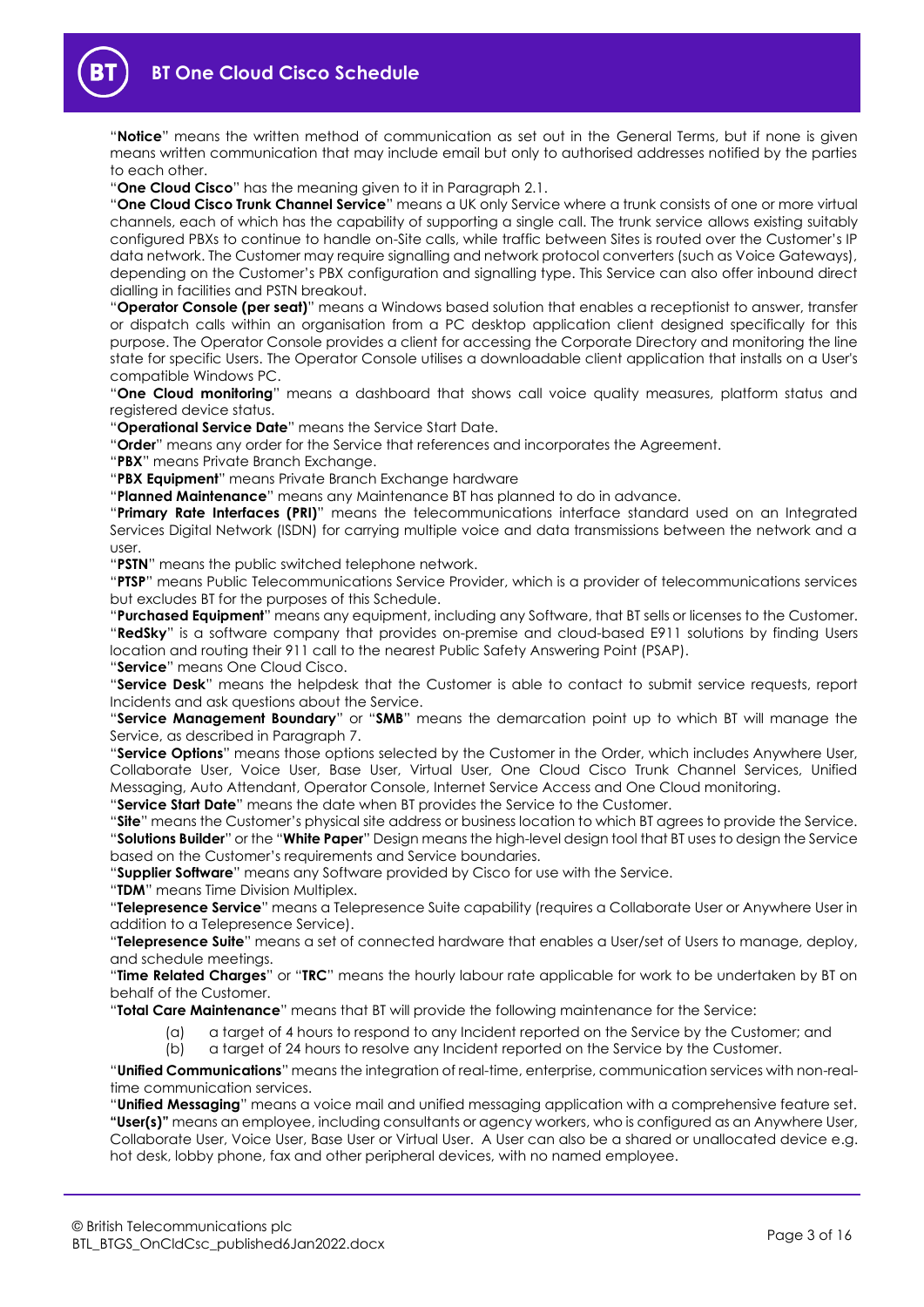

"**Notice**" means the written method of communication as set out in the General Terms, but if none is given means written communication that may include email but only to authorised addresses notified by the parties to each other.

"**One Cloud Cisco**" has the meaning given to it in Paragraph [2.1.](#page-3-0)

"**One Cloud Cisco Trunk Channel Service**" means a UK only Service where a trunk consists of one or more virtual channels, each of which has the capability of supporting a single call. The trunk service allows existing suitably configured PBXs to continue to handle on-Site calls, while traffic between Sites is routed over the Customer's IP data network. The Customer may require signalling and network protocol converters (such as Voice Gateways), depending on the Customer's PBX configuration and signalling type. This Service can also offer inbound direct dialling in facilities and PSTN breakout.

"**Operator Console (per seat)**" means a Windows based solution that enables a receptionist to answer, transfer or dispatch calls within an organisation from a PC desktop application client designed specifically for this purpose. The Operator Console provides a client for accessing the Corporate Directory and monitoring the line state for specific Users. The Operator Console utilises a downloadable client application that installs on a User's compatible Windows PC.

"**One Cloud monitoring**" means a dashboard that shows call voice quality measures, platform status and registered device status.

"**Operational Service Date**" means the Service Start Date.

"**Order**" means any order for the Service that references and incorporates the Agreement.

"**PBX**" means Private Branch Exchange.

"**PBX Equipment**" means Private Branch Exchange hardware

"**Planned Maintenance**" means any Maintenance BT has planned to do in advance.

"**Primary Rate Interfaces (PRI)**" means the telecommunications interface standard used on an Integrated Services Digital Network (ISDN) for carrying multiple voice and data transmissions between the network and a user.

"**PSTN**" means the public switched telephone network.

"**PTSP**" means Public Telecommunications Service Provider, which is a provider of telecommunications services but excludes BT for the purposes of this Schedule.

"**Purchased Equipment**" means any equipment, including any Software, that BT sells or licenses to the Customer. "**RedSky**" is a software company that provides on-premise and cloud-based E911 solutions by finding Users location and routing their 911 call to the nearest Public Safety Answering Point (PSAP).

"**Service**" means One Cloud Cisco.

"**Service Desk**" means the helpdesk that the Customer is able to contact to submit service requests, report Incidents and ask questions about the Service.

"**Service Management Boundary**" or "**SMB**" means the demarcation point up to which BT will manage the Service, as described in Paragraph [7.](#page-7-0)

"**Service Options**" means those options selected by the Customer in the Order, which includes Anywhere User, Collaborate User, Voice User, Base User, Virtual User, One Cloud Cisco Trunk Channel Services, Unified Messaging, Auto Attendant, Operator Console, Internet Service Access and One Cloud monitoring. "**Service Start Date**" means the date when BT provides the Service to the Customer.

"**Site**" means the Customer's physical site address or business location to which BT agrees to provide the Service.

"**Solutions Builder**" or the "**White Paper**" Design means the high-level design tool that BT uses to design the Service based on the Customer's requirements and Service boundaries.

"**Supplier Software**" means any Software provided by Cisco for use with the Service.

"**TDM**" means Time Division Multiplex.

"**Telepresence Service**" means a Telepresence Suite capability (requires a Collaborate User or Anywhere User in addition to a Telepresence Service).

"**Telepresence Suite**" means a set of connected hardware that enables a User/set of Users to manage, deploy, and schedule meetings.

"**Time Related Charges**" or "**TRC**" means the hourly labour rate applicable for work to be undertaken by BT on behalf of the Customer.

"**Total Care Maintenance**" means that BT will provide the following maintenance for the Service:

- (a) a target of 4 hours to respond to any Incident reported on the Service by the Customer; and
- (b) a target of 24 hours to resolve any Incident reported on the Service by the Customer.

"**Unified Communications**" means the integration of real-time, enterprise, communication services with non-realtime communication services.

"**Unified Messaging**" means a voice mail and unified messaging application with a comprehensive feature set. **"User(s)"** means an employee, including consultants or agency workers, who is configured as an Anywhere User, Collaborate User, Voice User, Base User or Virtual User. A User can also be a shared or unallocated device e.g. hot desk, lobby phone, fax and other peripheral devices, with no named employee.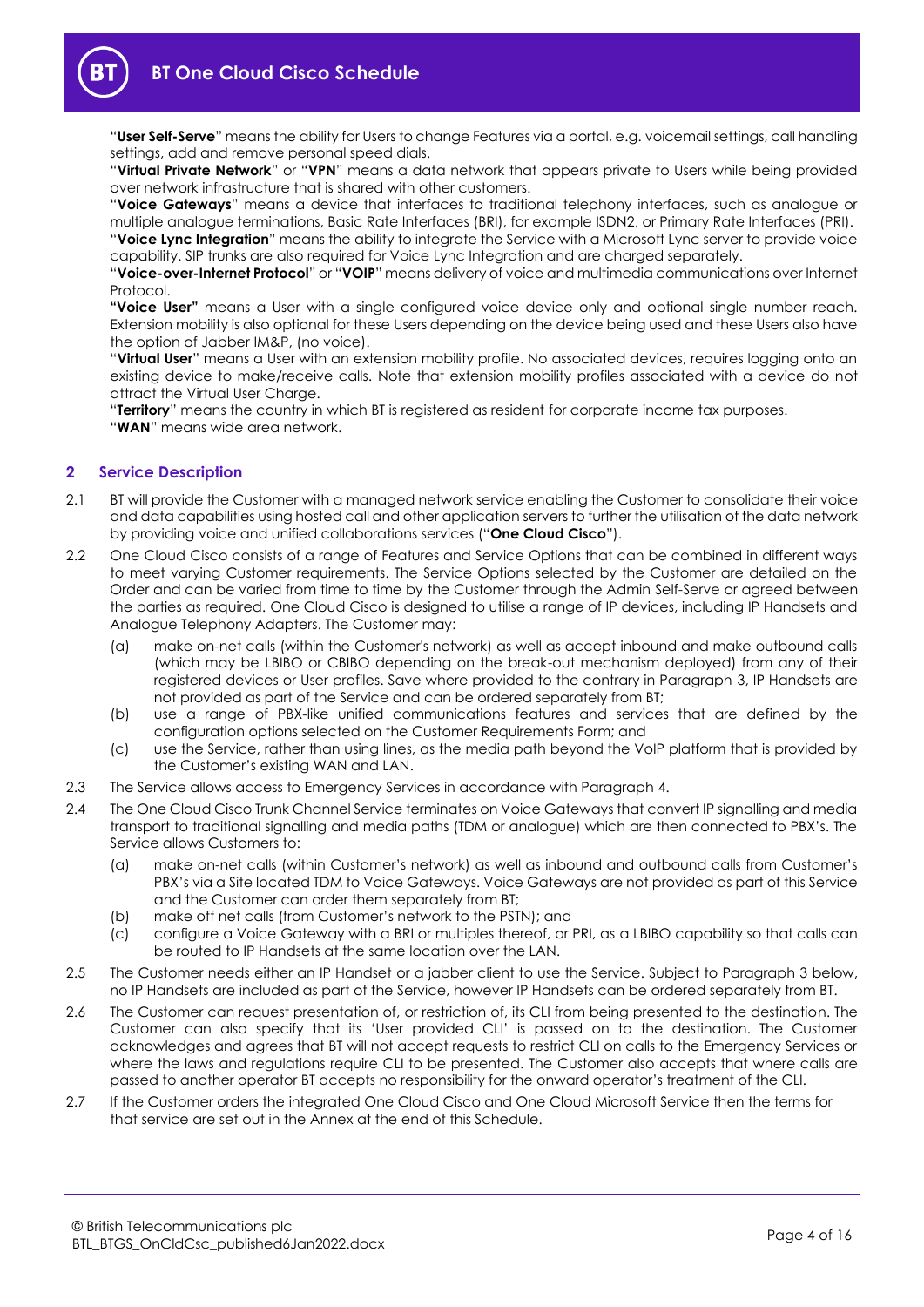

"**User Self-Serve**" means the ability for Users to change Features via a portal, e.g. voicemail settings, call handling settings, add and remove personal speed dials.

"**Virtual Private Network**" or "**VPN**" means a data network that appears private to Users while being provided over network infrastructure that is shared with other customers.

"**Voice Gateways**" means a device that interfaces to traditional telephony interfaces, such as analogue or multiple analogue terminations, Basic Rate Interfaces (BRI), for example ISDN2, or Primary Rate Interfaces (PRI). "**Voice Lync Integration**" means the ability to integrate the Service with a Microsoft Lync server to provide voice

capability. SIP trunks are also required for Voice Lync Integration and are charged separately. "**Voice-over-Internet Protocol**" or "**VOIP**" means delivery of voice and multimedia communications over Internet

Protocol. **"Voice User"** means a User with a single configured voice device only and optional single number reach. Extension mobility is also optional for these Users depending on the device being used and these Users also have the option of Jabber IM&P, (no voice).

"**Virtual User**" means a User with an extension mobility profile. No associated devices, requires logging onto an existing device to make/receive calls. Note that extension mobility profiles associated with a device do not attract the Virtual User Charge.

"**Territory**" means the country in which BT is registered as resident for corporate income tax purposes. "**WAN**" means wide area network.

# **2 Service Description**

- <span id="page-3-0"></span>2.1 BT will provide the Customer with a managed network service enabling the Customer to consolidate their voice and data capabilities using hosted call and other application servers to further the utilisation of the data network by providing voice and unified collaborations services ("**One Cloud Cisco**").
- 2.2 One Cloud Cisco consists of a range of Features and Service Options that can be combined in different ways to meet varying Customer requirements. The Service Options selected by the Customer are detailed on the Order and can be varied from time to time by the Customer through the Admin Self-Serve or agreed between the parties as required. One Cloud Cisco is designed to utilise a range of IP devices, including IP Handsets and Analogue Telephony Adapters. The Customer may:
	- (a) make on-net calls (within the Customer's network) as well as accept inbound and make outbound calls (which may be LBIBO or CBIBO depending on the break-out mechanism deployed) from any of their registered devices or User profiles. Save where provided to the contrary in Paragraph [3,](#page-4-0) IP Handsets are not provided as part of the Service and can be ordered separately from BT;
	- (b) use a range of PBX-like unified communications features and services that are defined by the configuration options selected on the Customer Requirements Form; and
	- (c) use the Service, rather than using lines, as the media path beyond the VoIP platform that is provided by the Customer's existing WAN and LAN.
- 2.3 The Service allows access to Emergency Services in accordance with Paragraph [4.](#page-5-0)
- 2.4 The One Cloud Cisco Trunk Channel Service terminates on Voice Gateways that convert IP signalling and media transport to traditional signalling and media paths (TDM or analogue) which are then connected to PBX's. The Service allows Customers to:
	- (a) make on-net calls (within Customer's network) as well as inbound and outbound calls from Customer's PBX's via a Site located TDM to Voice Gateways. Voice Gateways are not provided as part of this Service and the Customer can order them separately from BT;
	- (b) make off net calls (from Customer's network to the PSTN); and
	- (c) configure a Voice Gateway with a BRI or multiples thereof, or PRI, as a LBIBO capability so that calls can be routed to IP Handsets at the same location over the LAN.
- 2.5 The Customer needs either an IP Handset or a jabber client to use the Service. Subject to Paragraph [3](#page-4-0) below, no IP Handsets are included as part of the Service, however IP Handsets can be ordered separately from BT.
- 2.6 The Customer can request presentation of, or restriction of, its CLI from being presented to the destination. The Customer can also specify that its 'User provided CLI' is passed on to the destination. The Customer acknowledges and agrees that BT will not accept requests to restrict CLI on calls to the Emergency Services or where the laws and regulations require CLI to be presented. The Customer also accepts that where calls are passed to another operator BT accepts no responsibility for the onward operator's treatment of the CLI.
- 2.7 If the Customer orders the integrated One Cloud Cisco and One Cloud Microsoft Service then the terms for that service are set out in the Annex at the end of this Schedule.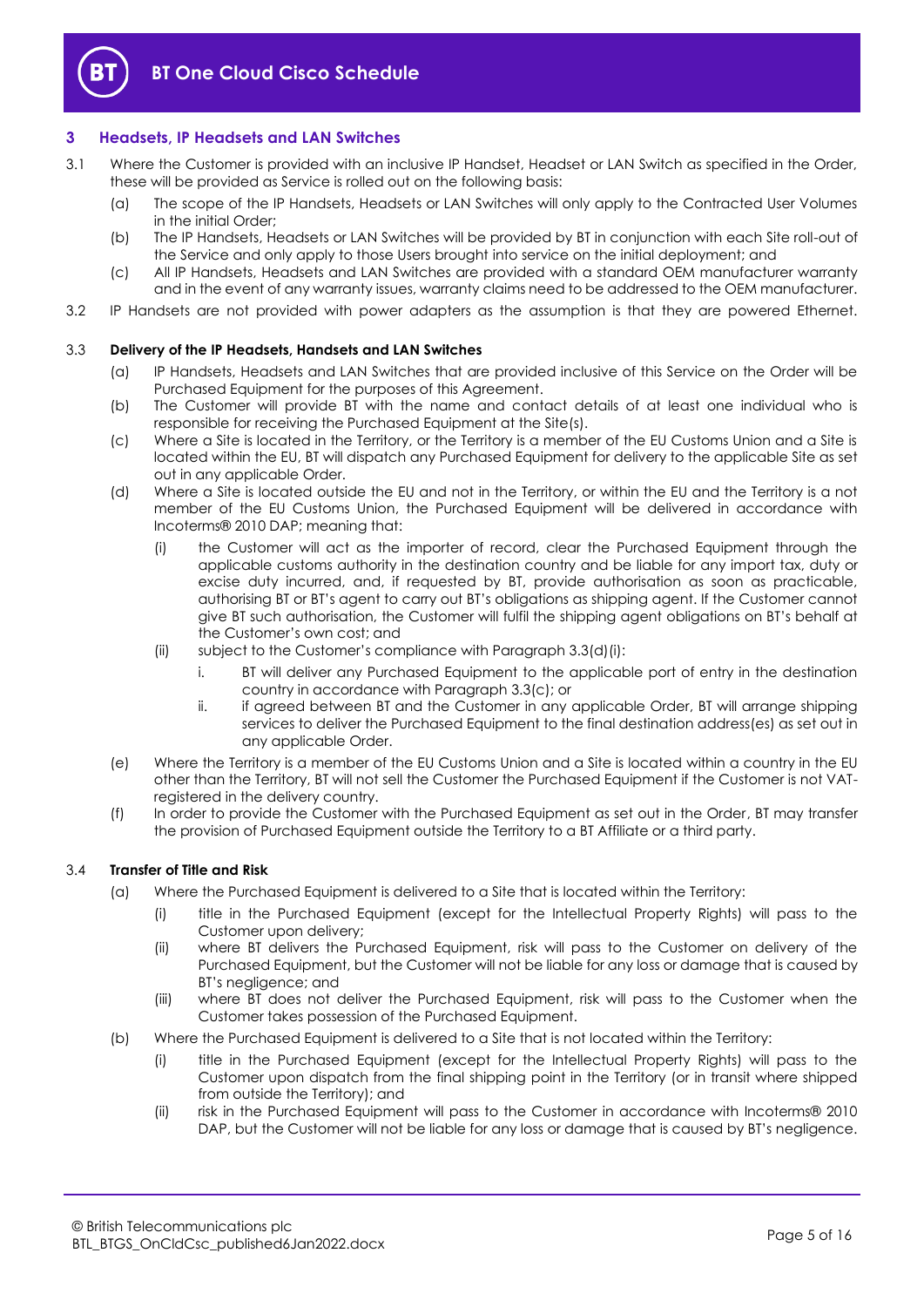

## <span id="page-4-0"></span>**3 Headsets, IP Headsets and LAN Switches**

- <span id="page-4-3"></span>3.1 Where the Customer is provided with an inclusive IP Handset, Headset or LAN Switch as specified in the Order, these will be provided as Service is rolled out on the following basis:
	- (a) The scope of the IP Handsets, Headsets or LAN Switches will only apply to the Contracted User Volumes in the initial Order;
	- (b) The IP Handsets, Headsets or LAN Switches will be provided by BT in conjunction with each Site roll-out of the Service and only apply to those Users brought into service on the initial deployment; and
	- (c) All IP Handsets, Headsets and LAN Switches are provided with a standard OEM manufacturer warranty and in the event of any warranty issues, warranty claims need to be addressed to the OEM manufacturer.
- 3.2 IP Handsets are not provided with power adapters as the assumption is that they are powered Ethernet.

#### 3.3 **Delivery of the IP Headsets, Handsets and LAN Switches**

- (a) IP Handsets, Headsets and LAN Switches that are provided inclusive of this Service on the Order will be Purchased Equipment for the purposes of this Agreement.
- (b) The Customer will provide BT with the name and contact details of at least one individual who is responsible for receiving the Purchased Equipment at the Site(s).
- <span id="page-4-2"></span>(c) Where a Site is located in the Territory, or the Territory is a member of the EU Customs Union and a Site is located within the EU, BT will dispatch any Purchased Equipment for delivery to the applicable Site as set out in any applicable Order.
- <span id="page-4-1"></span>(d) Where a Site is located outside the EU and not in the Territory, or within the EU and the Territory is a not member of the EU Customs Union, the Purchased Equipment will be delivered in accordance with Incoterms® 2010 DAP; meaning that:
	- (i) the Customer will act as the importer of record, clear the Purchased Equipment through the applicable customs authority in the destination country and be liable for any import tax, duty or excise duty incurred, and, if requested by BT, provide authorisation as soon as practicable, authorising BT or BT's agent to carry out BT's obligations as shipping agent. If the Customer cannot give BT such authorisation, the Customer will fulfil the shipping agent obligations on BT's behalf at the Customer's own cost; and
	- (ii) subject to the Customer's compliance with Paragraph [3.3\(d\)\(i\):](#page-4-1)
		- i. BT will deliver any Purchased Equipment to the applicable port of entry in the destination country in accordance with Paragrap[h 3.3\(c\);](#page-4-2) or
		- ii. if agreed between BT and the Customer in any applicable Order, BT will arrange shipping services to deliver the Purchased Equipment to the final destination address(es) as set out in any applicable Order.
- (e) Where the Territory is a member of the EU Customs Union and a Site is located within a country in the EU other than the Territory, BT will not sell the Customer the Purchased Equipment if the Customer is not VATregistered in the delivery country.
- (f) In order to provide the Customer with the Purchased Equipment as set out in the Order, BT may transfer the provision of Purchased Equipment outside the Territory to a BT Affiliate or a third party.

#### 3.4 **Transfer of Title and Risk**

- (a) Where the Purchased Equipment is delivered to a Site that is located within the Territory:
	- (i) title in the Purchased Equipment (except for the Intellectual Property Rights) will pass to the Customer upon delivery;
	- (ii) where BT delivers the Purchased Equipment, risk will pass to the Customer on delivery of the Purchased Equipment, but the Customer will not be liable for any loss or damage that is caused by BT's negligence; and
	- (iii) where BT does not deliver the Purchased Equipment, risk will pass to the Customer when the Customer takes possession of the Purchased Equipment.
- (b) Where the Purchased Equipment is delivered to a Site that is not located within the Territory:
	- (i) title in the Purchased Equipment (except for the Intellectual Property Rights) will pass to the Customer upon dispatch from the final shipping point in the Territory (or in transit where shipped from outside the Territory); and
	- (ii) risk in the Purchased Equipment will pass to the Customer in accordance with Incoterms® 2010 DAP, but the Customer will not be liable for any loss or damage that is caused by BT's negligence.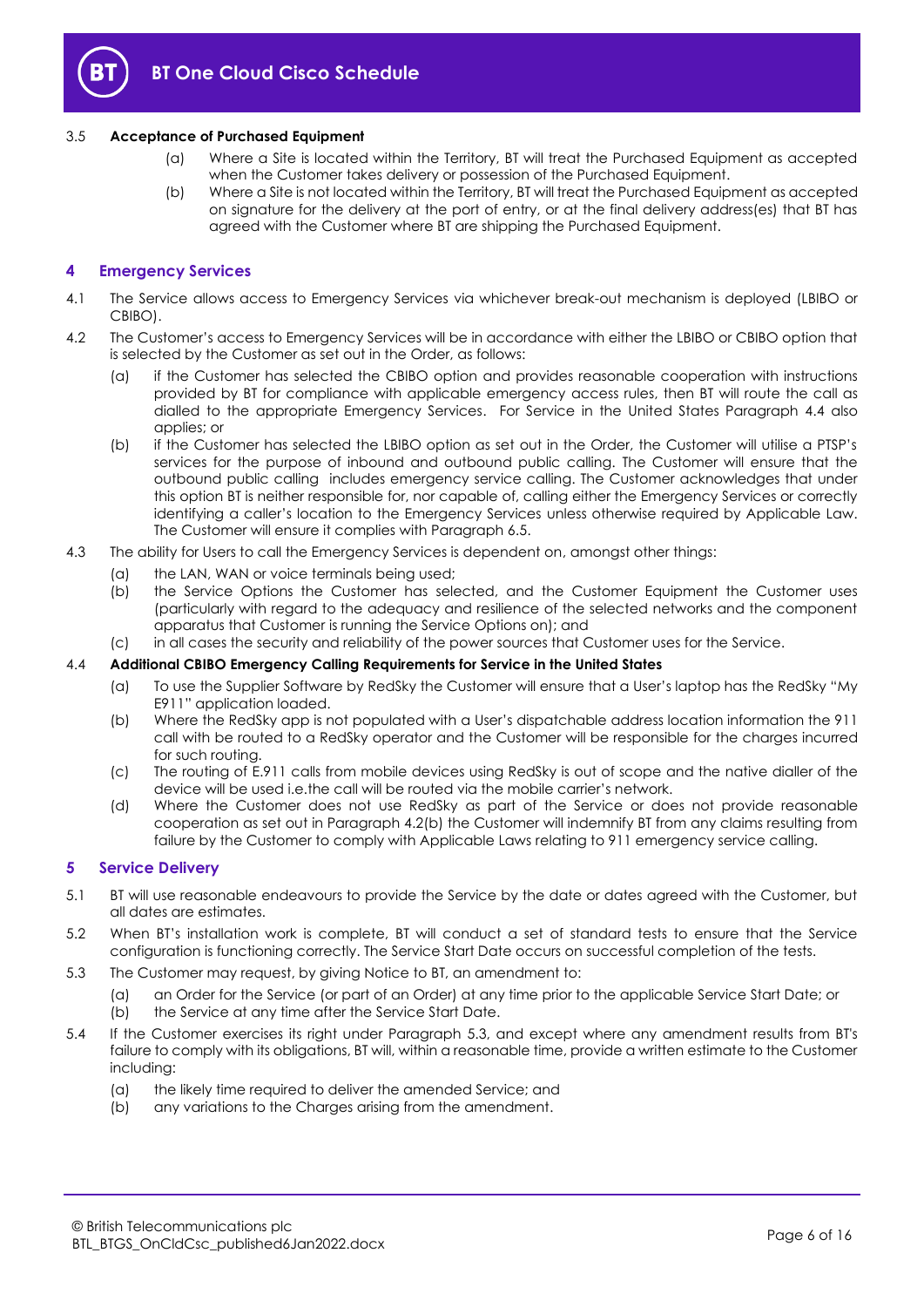

### 3.5 **Acceptance of Purchased Equipment**

- (a) Where a Site is located within the Territory, BT will treat the Purchased Equipment as accepted when the Customer takes delivery or possession of the Purchased Equipment.
- (b) Where a Site is not located within the Territory, BT will treat the Purchased Equipment as accepted on signature for the delivery at the port of entry, or at the final delivery address(es) that BT has agreed with the Customer where BT are shipping the Purchased Equipment.

## <span id="page-5-0"></span>**4 Emergency Services**

- 4.1 The Service allows access to Emergency Services via whichever break-out mechanism is deployed (LBIBO or CBIBO).
- <span id="page-5-2"></span>4.2 The Customer's access to Emergency Services will be in accordance with either the LBIBO or CBIBO option that is selected by the Customer as set out in the Order, as follows:
	- (a) if the Customer has selected the CBIBO option and provides reasonable cooperation with instructions provided by BT for compliance with applicable emergency access rules, then BT will route the call as dialled to the appropriate Emergency Services. For Service in the United States Paragraph [4.4](#page-5-1) also applies; or
	- (b) if the Customer has selected the LBIBO option as set out in the Order, the Customer will utilise a PTSP's services for the purpose of inbound and outbound public calling. The Customer will ensure that the outbound public calling includes emergency service calling. The Customer acknowledges that under this option BT is neither responsible for, nor capable of, calling either the Emergency Services or correctly identifying a caller's location to the Emergency Services unless otherwise required by Applicable Law. The Customer will ensure it complies with Paragraph [6.5.](#page-7-1)
- 4.3 The ability for Users to call the Emergency Services is dependent on, amongst other things:
	- (a) the LAN, WAN or voice terminals being used;
	- (b) the Service Options the Customer has selected, and the Customer Equipment the Customer uses (particularly with regard to the adequacy and resilience of the selected networks and the component apparatus that Customer is running the Service Options on); and
	- (c) in all cases the security and reliability of the power sources that Customer uses for the Service.

#### <span id="page-5-1"></span>4.4 **Additional CBIBO Emergency Calling Requirements for Service in the United States**

- (a) To use the Supplier Software by RedSky the Customer will ensure that a User's laptop has the RedSky "My E911" application loaded.
- (b) Where the RedSky app is not populated with a User's dispatchable address location information the 911 call with be routed to a RedSky operator and the Customer will be responsible for the charges incurred for such routing.
- (c) The routing of E.911 calls from mobile devices using RedSky is out of scope and the native dialler of the device will be used i.e.the call will be routed via the mobile carrier's network.
- (d) Where the Customer does not use RedSky as part of the Service or does not provide reasonable cooperation as set out in Paragraph [4.2\(b\)](#page-5-2) the Customer will indemnify BT from any claims resulting from failure by the Customer to comply with Applicable Laws relating to 911 emergency service calling.

#### **5 Service Delivery**

- 5.1 BT will use reasonable endeavours to provide the Service by the date or dates agreed with the Customer, but all dates are estimates.
- 5.2 When BT's installation work is complete, BT will conduct a set of standard tests to ensure that the Service configuration is functioning correctly. The Service Start Date occurs on successful completion of the tests.
- <span id="page-5-3"></span>5.3 The Customer may request, by giving Notice to BT, an amendment to:
	- (a) an Order for the Service (or part of an Order) at any time prior to the applicable Service Start Date; or
	- (b) the Service at any time after the Service Start Date.
- 5.4 If the Customer exercises its right under Paragraph [5.3,](#page-5-3) and except where any amendment results from BT's failure to comply with its obligations, BT will, within a reasonable time, provide a written estimate to the Customer including:
	- (a) the likely time required to deliver the amended Service; and
	- (b) any variations to the Charges arising from the amendment.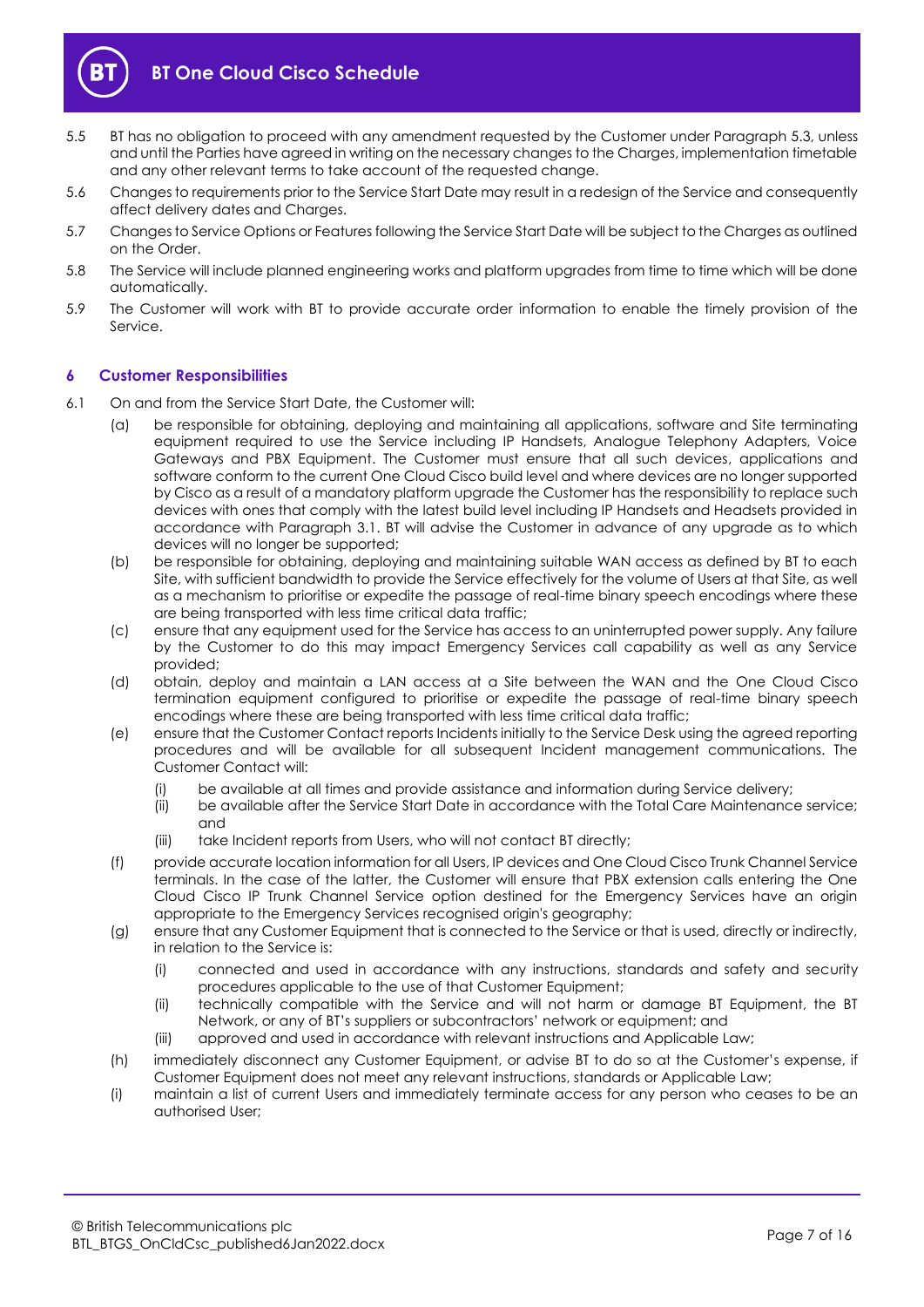

- 5.5 BT has no obligation to proceed with any amendment requested by the Customer under Paragrap[h 5.3,](#page-5-3) unless and until the Parties have agreed in writing on the necessary changes to the Charges, implementation timetable and any other relevant terms to take account of the requested change.
- 5.6 Changes to requirements prior to the Service Start Date may result in a redesign of the Service and consequently affect delivery dates and Charges.
- 5.7 Changes to Service Options or Features following the Service Start Date will be subject to the Charges as outlined on the Order.
- 5.8 The Service will include planned engineering works and platform upgrades from time to time which will be done automatically.
- 5.9 The Customer will work with BT to provide accurate order information to enable the timely provision of the Service.

# **6 Customer Responsibilities**

- 6.1 On and from the Service Start Date, the Customer will:
	- (a) be responsible for obtaining, deploying and maintaining all applications, software and Site terminating equipment required to use the Service including IP Handsets, Analogue Telephony Adapters, Voice Gateways and PBX Equipment. The Customer must ensure that all such devices, applications and software conform to the current One Cloud Cisco build level and where devices are no longer supported by Cisco as a result of a mandatory platform upgrade the Customer has the responsibility to replace such devices with ones that comply with the latest build level including IP Handsets and Headsets provided in accordance with Paragraph [3.1.](#page-4-3) BT will advise the Customer in advance of any upgrade as to which devices will no longer be supported;
	- (b) be responsible for obtaining, deploying and maintaining suitable WAN access as defined by BT to each Site, with sufficient bandwidth to provide the Service effectively for the volume of Users at that Site, as well as a mechanism to prioritise or expedite the passage of real-time binary speech encodings where these are being transported with less time critical data traffic;
	- (c) ensure that any equipment used for the Service has access to an uninterrupted power supply. Any failure by the Customer to do this may impact Emergency Services call capability as well as any Service provided;
	- (d) obtain, deploy and maintain a LAN access at a Site between the WAN and the One Cloud Cisco termination equipment configured to prioritise or expedite the passage of real-time binary speech encodings where these are being transported with less time critical data traffic;
	- (e) ensure that the Customer Contact reports Incidents initially to the Service Desk using the agreed reporting procedures and will be available for all subsequent Incident management communications. The Customer Contact will:
		- (i) be available at all times and provide assistance and information during Service delivery;
		- (ii) be available after the Service Start Date in accordance with the Total Care Maintenance service; and
		- (iii) take Incident reports from Users, who will not contact BT directly;
	- (f) provide accurate location information for all Users, IP devices and One Cloud Cisco Trunk Channel Service terminals. In the case of the latter, the Customer will ensure that PBX extension calls entering the One Cloud Cisco IP Trunk Channel Service option destined for the Emergency Services have an origin appropriate to the Emergency Services recognised origin's geography;
	- (g) ensure that any Customer Equipment that is connected to the Service or that is used, directly or indirectly, in relation to the Service is:
		- (i) connected and used in accordance with any instructions, standards and safety and security procedures applicable to the use of that Customer Equipment;
		- (ii) technically compatible with the Service and will not harm or damage BT Equipment, the BT Network, or any of BT's suppliers or subcontractors' network or equipment; and
		- (iii) approved and used in accordance with relevant instructions and Applicable Law;
	- (h) immediately disconnect any Customer Equipment, or advise BT to do so at the Customer's expense, if Customer Equipment does not meet any relevant instructions, standards or Applicable Law;
	- (i) maintain a list of current Users and immediately terminate access for any person who ceases to be an authorised User;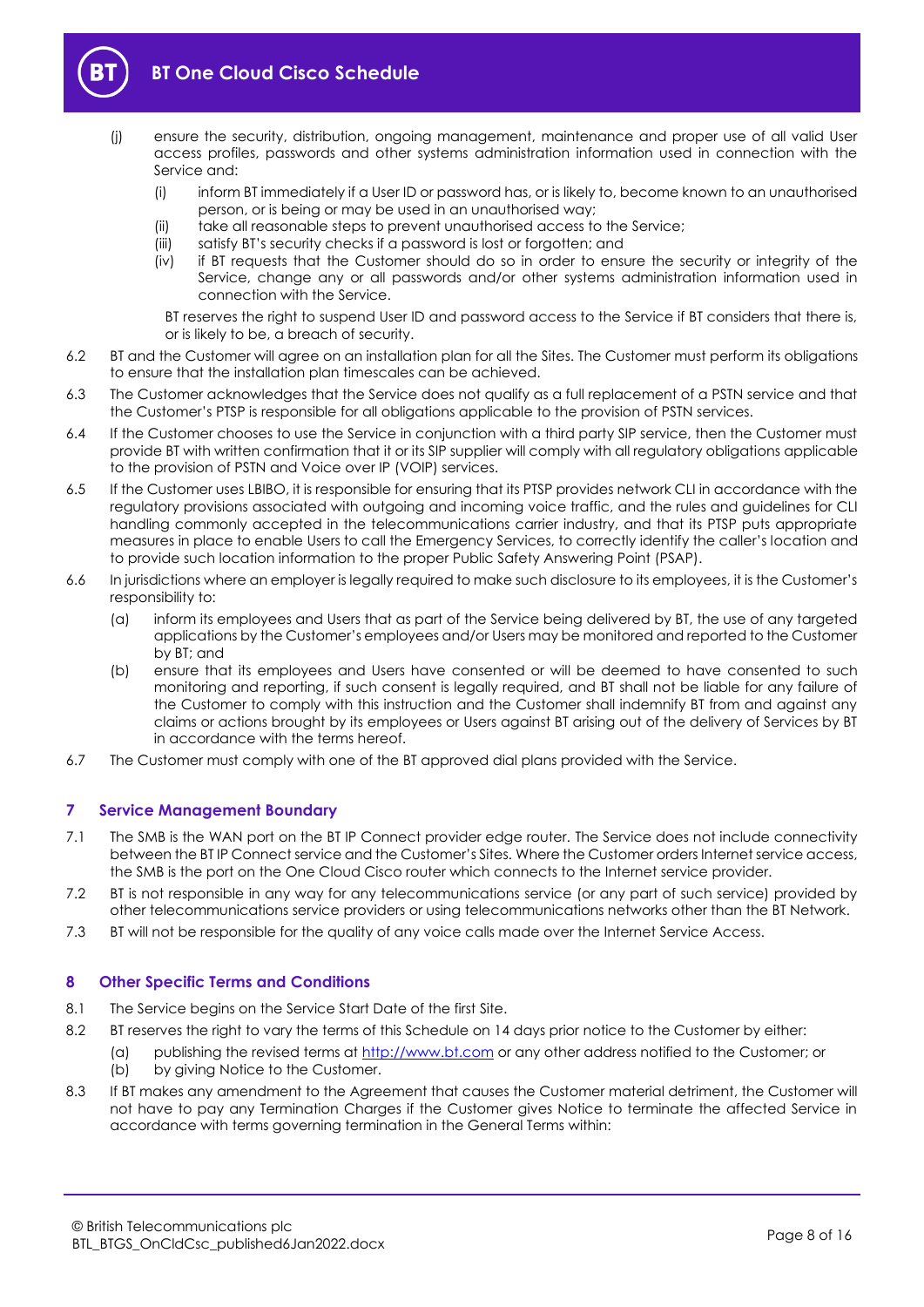

- (j) ensure the security, distribution, ongoing management, maintenance and proper use of all valid User access profiles, passwords and other systems administration information used in connection with the Service and:
	- (i) inform BT immediately if a User ID or password has, or is likely to, become known to an unauthorised person, or is being or may be used in an unauthorised way;
	- (ii) take all reasonable steps to prevent unauthorised access to the Service;
	- (iii) satisfy BT's security checks if a password is lost or forgotten; and
	- (iv) if BT requests that the Customer should do so in order to ensure the security or integrity of the Service, change any or all passwords and/or other systems administration information used in connection with the Service.
		- BT reserves the right to suspend User ID and password access to the Service if BT considers that there is, or is likely to be, a breach of security.
- 6.2 BT and the Customer will agree on an installation plan for all the Sites. The Customer must perform its obligations to ensure that the installation plan timescales can be achieved.
- 6.3 The Customer acknowledges that the Service does not qualify as a full replacement of a PSTN service and that the Customer's PTSP is responsible for all obligations applicable to the provision of PSTN services.
- 6.4 If the Customer chooses to use the Service in conjunction with a third party SIP service, then the Customer must provide BT with written confirmation that it or its SIP supplier will comply with all regulatory obligations applicable to the provision of PSTN and Voice over IP (VOIP) services.
- <span id="page-7-1"></span>6.5 If the Customer uses LBIBO, it is responsible for ensuring that its PTSP provides network CLI in accordance with the regulatory provisions associated with outgoing and incoming voice traffic, and the rules and guidelines for CLI handling commonly accepted in the telecommunications carrier industry, and that its PTSP puts appropriate measures in place to enable Users to call the Emergency Services, to correctly identify the caller's location and to provide such location information to the proper Public Safety Answering Point (PSAP).
- 6.6 In jurisdictions where an employer is legally required to make such disclosure to its employees, it is the Customer's responsibility to:
	- (a) inform its employees and Users that as part of the Service being delivered by BT, the use of any targeted applications by the Customer's employees and/or Users may be monitored and reported to the Customer by BT; and
	- (b) ensure that its employees and Users have consented or will be deemed to have consented to such monitoring and reporting, if such consent is legally required, and BT shall not be liable for any failure of the Customer to comply with this instruction and the Customer shall indemnify BT from and against any claims or actions brought by its employees or Users against BT arising out of the delivery of Services by BT in accordance with the terms hereof.
- 6.7 The Customer must comply with one of the BT approved dial plans provided with the Service.

# <span id="page-7-0"></span>**7 Service Management Boundary**

- 7.1 The SMB is the WAN port on the BT IP Connect provider edge router. The Service does not include connectivity between the BT IP Connect service and the Customer's Sites. Where the Customer orders Internet service access, the SMB is the port on the One Cloud Cisco router which connects to the Internet service provider.
- 7.2 BT is not responsible in any way for any telecommunications service (or any part of such service) provided by other telecommunications service providers or using telecommunications networks other than the BT Network.
- 7.3 BT will not be responsible for the quality of any voice calls made over the Internet Service Access.

#### **8 Other Specific Terms and Conditions**

- 8.1 The Service begins on the Service Start Date of the first Site.
- <span id="page-7-2"></span>8.2 BT reserves the right to vary the terms of this Schedule on 14 days prior notice to the Customer by either:
	- (a) publishing the revised terms at [http://www.bt.com](https://www.bt.com/) or any other address notified to the Customer; or (b) by giving Notice to the Customer.
- <span id="page-7-3"></span>8.3 If BT makes any amendment to the Agreement that causes the Customer material detriment, the Customer will not have to pay any Termination Charges if the Customer gives Notice to terminate the affected Service in accordance with terms governing termination in the General Terms within: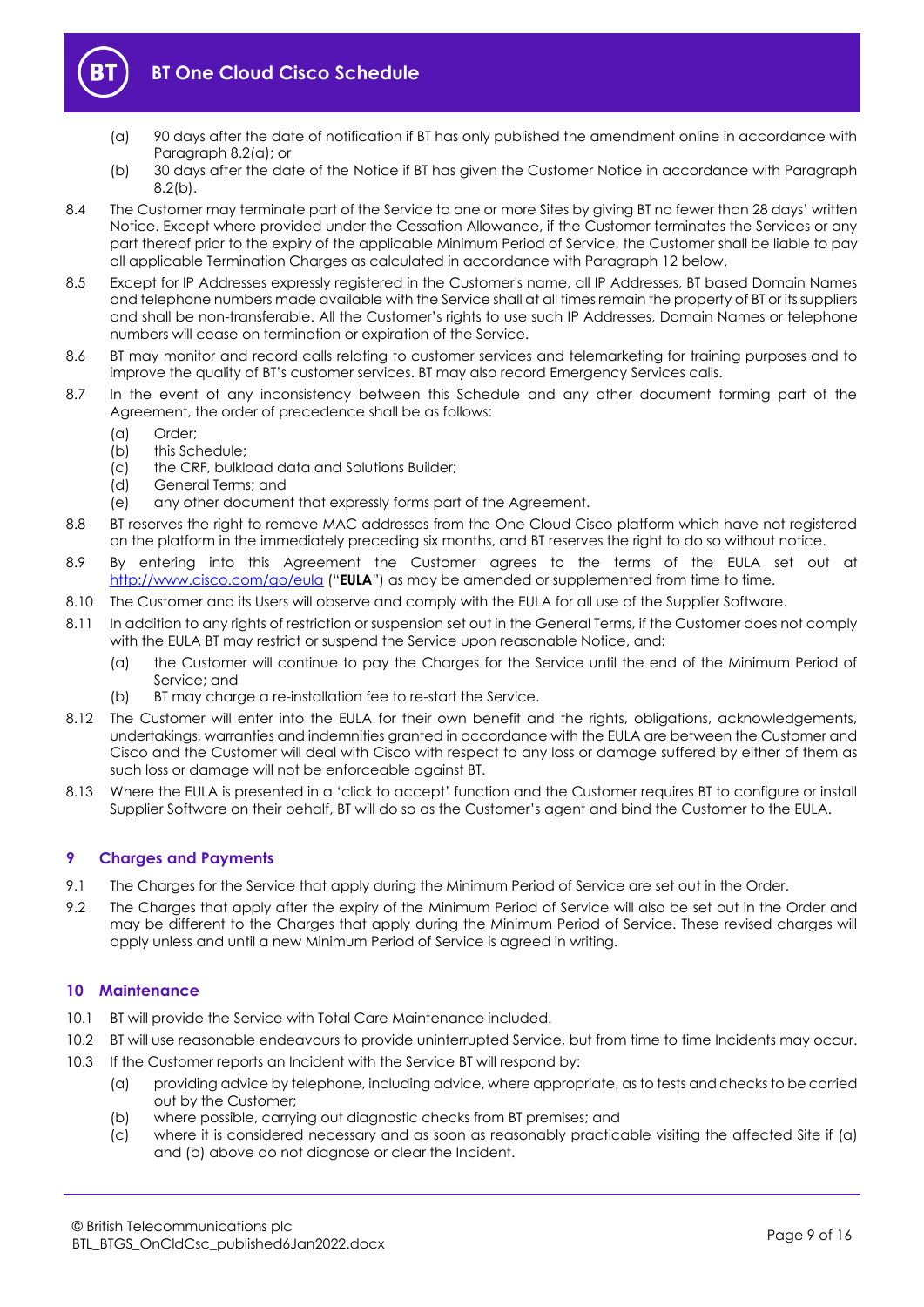

- (a) 90 days after the date of notification if BT has only published the amendment online in accordance with Paragrap[h 8.2\(a\);](#page-7-2) or
- (b) 30 days after the date of the Notice if BT has given the Customer Notice in accordance with Paragraph  $8.2(b)$ .
- <span id="page-8-0"></span>8.4 The Customer may terminate part of the Service to one or more Sites by giving BT no fewer than 28 days' written Notice. Except where provided under the Cessation Allowance, if the Customer terminates the Services or any part thereof prior to the expiry of the applicable Minimum Period of Service, the Customer shall be liable to pay all applicable Termination Charges as calculated in accordance with Paragraph [12](#page-9-0) below.
- 8.5 Except for IP Addresses expressly registered in the Customer's name, all IP Addresses, BT based Domain Names and telephone numbers made available with the Service shall at all times remain the property of BT or its suppliers and shall be non-transferable. All the Customer's rights to use such IP Addresses, Domain Names or telephone numbers will cease on termination or expiration of the Service.
- 8.6 BT may monitor and record calls relating to customer services and telemarketing for training purposes and to improve the quality of BT's customer services. BT may also record Emergency Services calls.
- 8.7 In the event of any inconsistency between this Schedule and any other document forming part of the Agreement, the order of precedence shall be as follows:
	- (a) Order;
	- (b) this Schedule;
	- (c) the CRF, bulkload data and Solutions Builder;
	- (d) General Terms; and
	- (e) any other document that expressly forms part of the Agreement.
- 8.8 BT reserves the right to remove MAC addresses from the One Cloud Cisco platform which have not registered on the platform in the immediately preceding six months, and BT reserves the right to do so without notice.
- 8.9 By entering into this Agreement the Customer agrees to the terms of the EULA set out at <http://www.cisco.com/go/eula> ("**EULA**") as may be amended or supplemented from time to time.
- 8.10 The Customer and its Users will observe and comply with the EULA for all use of the Supplier Software.
- 8.11 In addition to any rights of restriction or suspension set out in the General Terms, if the Customer does not comply with the EULA BT may restrict or suspend the Service upon reasonable Notice, and:
	- (a) the Customer will continue to pay the Charges for the Service until the end of the Minimum Period of Service; and
	- (b) BT may charge a re-installation fee to re-start the Service.
- 8.12 The Customer will enter into the EULA for their own benefit and the rights, obligations, acknowledgements, undertakings, warranties and indemnities granted in accordance with the EULA are between the Customer and Cisco and the Customer will deal with Cisco with respect to any loss or damage suffered by either of them as such loss or damage will not be enforceable against BT.
- 8.13 Where the EULA is presented in a 'click to accept' function and the Customer requires BT to configure or install Supplier Software on their behalf, BT will do so as the Customer's agent and bind the Customer to the EULA.

# **9 Charges and Payments**

- 9.1 The Charges for the Service that apply during the Minimum Period of Service are set out in the Order.
- 9.2 The Charges that apply after the expiry of the Minimum Period of Service will also be set out in the Order and may be different to the Charges that apply during the Minimum Period of Service. These revised charges will apply unless and until a new Minimum Period of Service is agreed in writing.

# **10 Maintenance**

- 10.1 BT will provide the Service with Total Care Maintenance included.
- 10.2 BT will use reasonable endeavours to provide uninterrupted Service, but from time to time Incidents may occur.
- 10.3 If the Customer reports an Incident with the Service BT will respond by:
	- (a) providing advice by telephone, including advice, where appropriate, as to tests and checks to be carried out by the Customer;
	- (b) where possible, carrying out diagnostic checks from BT premises; and
	- (c) where it is considered necessary and as soon as reasonably practicable visiting the affected Site if (a) and (b) above do not diagnose or clear the Incident.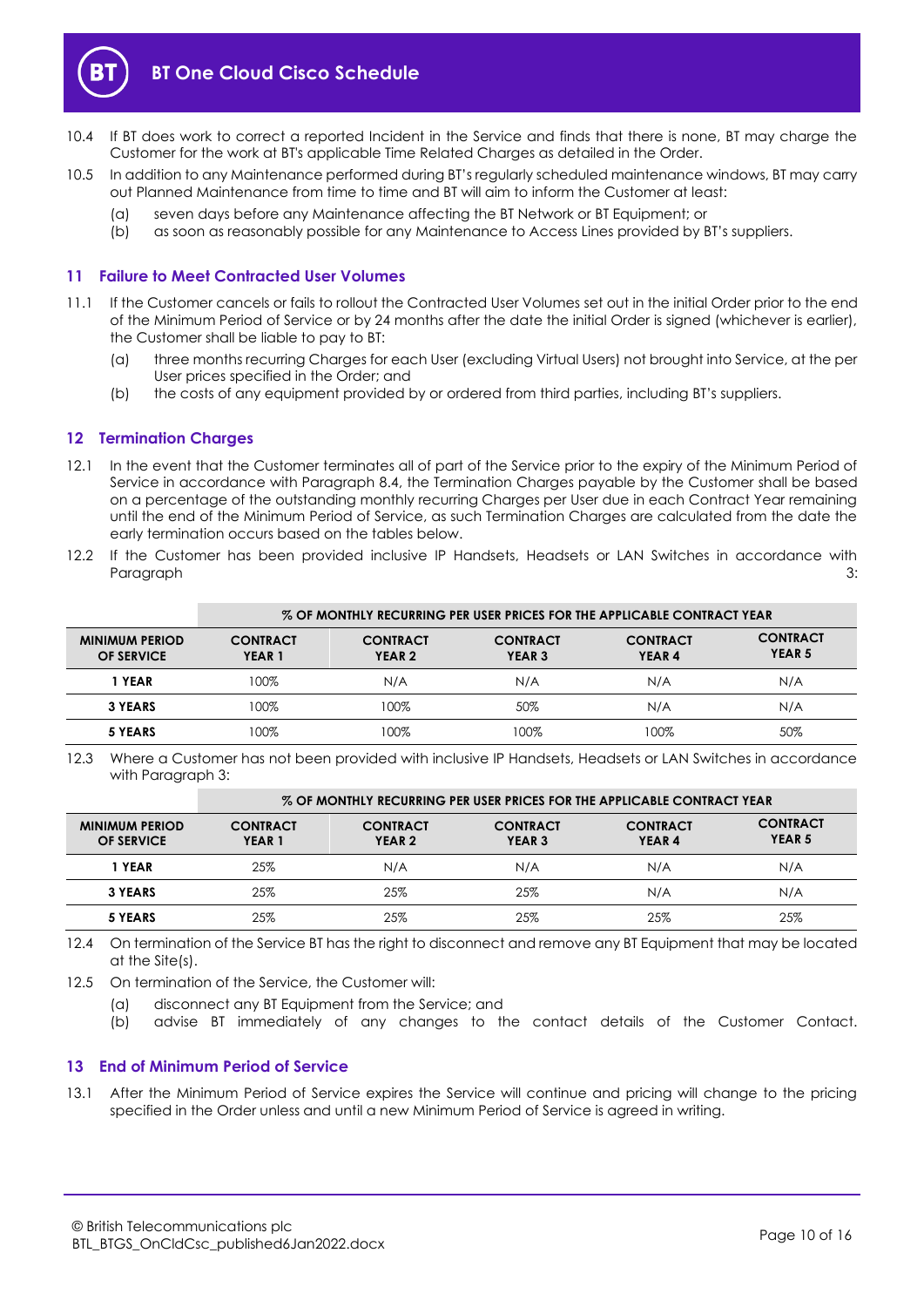

- 10.4 If BT does work to correct a reported Incident in the Service and finds that there is none, BT may charge the Customer for the work at BT's applicable Time Related Charges as detailed in the Order.
- 10.5 In addition to any Maintenance performed during BT's regularly scheduled maintenance windows, BT may carry out Planned Maintenance from time to time and BT will aim to inform the Customer at least:
	- (a) seven days before any Maintenance affecting the BT Network or BT Equipment; or
	- (b) as soon as reasonably possible for any Maintenance to Access Lines provided by BT's suppliers.

# <span id="page-9-1"></span>**11 Failure to Meet Contracted User Volumes**

- 11.1 If the Customer cancels or fails to rollout the Contracted User Volumes set out in the initial Order prior to the end of the Minimum Period of Service or by 24 months after the date the initial Order is signed (whichever is earlier), the Customer shall be liable to pay to BT:
	- (a) three months recurring Charges for each User (excluding Virtual Users) not brought into Service, at the per User prices specified in the Order; and
	- (b) the costs of any equipment provided by or ordered from third parties, including BT's suppliers.

### <span id="page-9-0"></span>**12 Termination Charges**

- 12.1 In the event that the Customer terminates all of part of the Service prior to the expiry of the Minimum Period of Service in accordance with Paragraph [8.4,](#page-8-0) the Termination Charges payable by the Customer shall be based on a percentage of the outstanding monthly recurring Charges per User due in each Contract Year remaining until the end of the Minimum Period of Service, as such Termination Charges are calculated from the date the early termination occurs based on the tables below.
- 12.2 If the Customer has been provided inclusive IP Handsets, Headsets or LAN Switches in accordance with Paragraph [3:](#page-4-0)

|                                            | % OF MONTHLY RECURRING PER USER PRICES FOR THE APPLICABLE CONTRACT YEAR |                                      |                                      |                                      |                                      |
|--------------------------------------------|-------------------------------------------------------------------------|--------------------------------------|--------------------------------------|--------------------------------------|--------------------------------------|
| <b>MINIMUM PERIOD</b><br><b>OF SERVICE</b> | <b>CONTRACT</b><br>YEAR <sub>1</sub>                                    | <b>CONTRACT</b><br>YEAR <sub>2</sub> | <b>CONTRACT</b><br>YEAR <sub>3</sub> | <b>CONTRACT</b><br>YEAR <sub>4</sub> | <b>CONTRACT</b><br>YEAR <sub>5</sub> |
| 1 YEAR                                     | 100%                                                                    | N/A                                  | N/A                                  | N/A                                  | N/A                                  |
| 3 YEARS                                    | 100%                                                                    | 100%                                 | 50%                                  | N/A                                  | N/A                                  |
| 5 YEARS                                    | 100%                                                                    | $100\%$                              | 100%                                 | 100%                                 | 50%                                  |

<sup>12.3</sup> Where a Customer has not been provided with inclusive IP Handsets, Headsets or LAN Switches in accordance with Paragrap[h 3:](#page-4-0)

|                                            | % OF MONTHLY RECURRING PER USER PRICES FOR THE APPLICABLE CONTRACT YEAR |                                      |                                      |                                      |                                      |
|--------------------------------------------|-------------------------------------------------------------------------|--------------------------------------|--------------------------------------|--------------------------------------|--------------------------------------|
| <b>MINIMUM PERIOD</b><br><b>OF SERVICE</b> | <b>CONTRACT</b><br>YEAR <sub>1</sub>                                    | <b>CONTRACT</b><br>YEAR <sub>2</sub> | <b>CONTRACT</b><br>YEAR <sub>3</sub> | <b>CONTRACT</b><br>YEAR <sub>4</sub> | <b>CONTRACT</b><br>YEAR <sub>5</sub> |
| 1 YEAR                                     | 25%                                                                     | N/A                                  | N/A                                  | N/A                                  | N/A                                  |
| <b>3 YEARS</b>                             | 25%                                                                     | 25%                                  | 25%                                  | N/A                                  | N/A                                  |
| 5 YEARS                                    | 25%                                                                     | 25%                                  | 25%                                  | 25%                                  | 25%                                  |

12.4 On termination of the Service BT has the right to disconnect and remove any BT Equipment that may be located at the Site(s).

- 12.5 On termination of the Service, the Customer will:
	- (a) disconnect any BT Equipment from the Service; and
	- (b) advise BT immediately of any changes to the contact details of the Customer Contact.

# **13 End of Minimum Period of Service**

13.1 After the Minimum Period of Service expires the Service will continue and pricing will change to the pricing specified in the Order unless and until a new Minimum Period of Service is agreed in writing.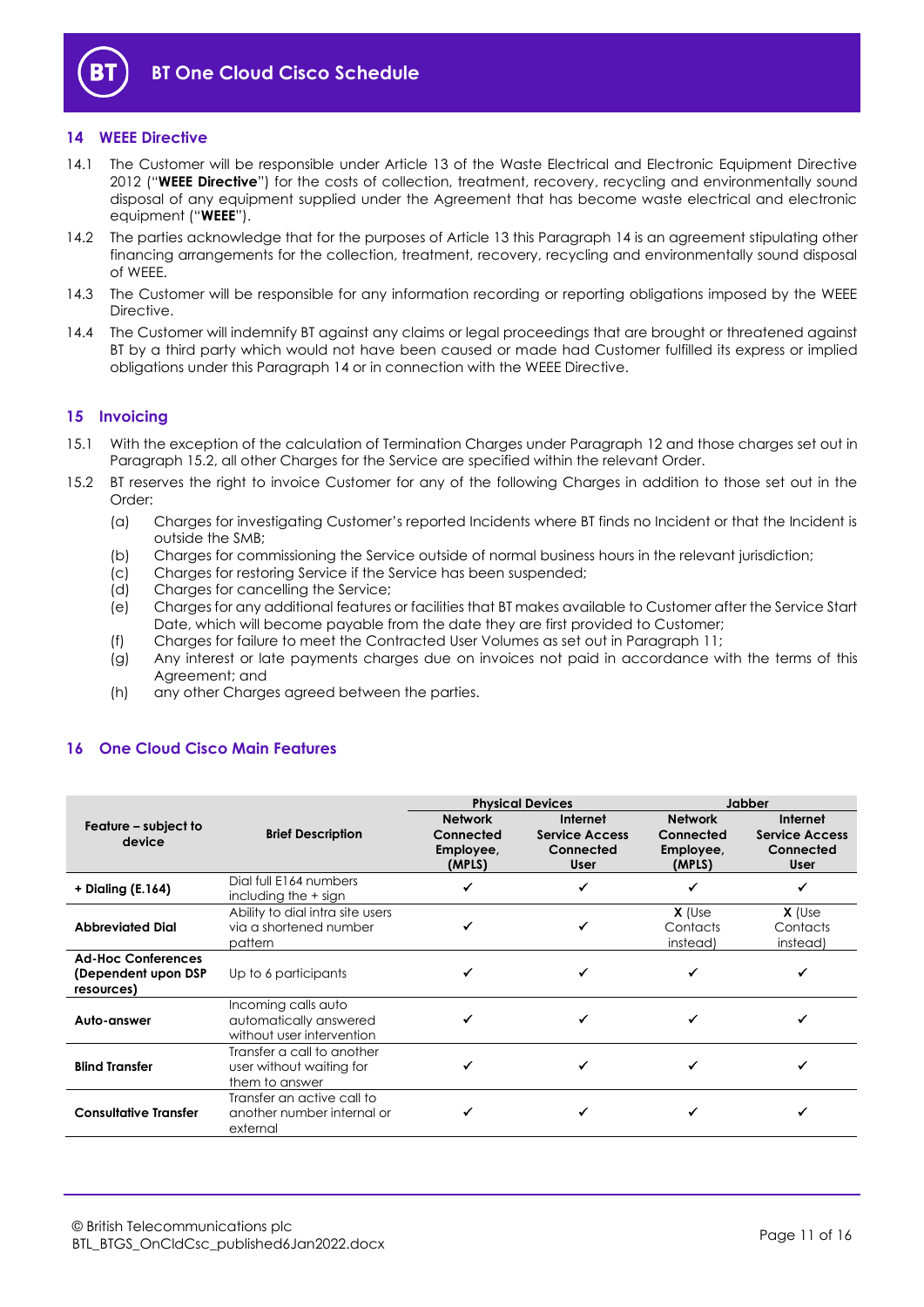

# <span id="page-10-1"></span>**14 WEEE Directive**

- 14.1 The Customer will be responsible under Article 13 of the Waste Electrical and Electronic Equipment Directive 2012 ("**WEEE Directive**") for the costs of collection, treatment, recovery, recycling and environmentally sound disposal of any equipment supplied under the Agreement that has become waste electrical and electronic equipment ("**WEEE**").
- 14.2 The parties acknowledge that for the purposes of Article 13 this Paragraph [14](#page-10-1) is an agreement stipulating other financing arrangements for the collection, treatment, recovery, recycling and environmentally sound disposal of WEEE.
- 14.3 The Customer will be responsible for any information recording or reporting obligations imposed by the WEEE Directive.
- 14.4 The Customer will indemnify BT against any claims or legal proceedings that are brought or threatened against BT by a third party which would not have been caused or made had Customer fulfilled its express or implied obligations under this Paragraph [14](#page-10-1) or in connection with the WEEE Directive.

### **15 Invoicing**

- 15.1 With the exception of the calculation of Termination Charges under Paragraph [12](#page-9-0) and those charges set out in Paragraph [15.2,](#page-10-2) all other Charges for the Service are specified within the relevant Order.
- <span id="page-10-2"></span>15.2 BT reserves the right to invoice Customer for any of the following Charges in addition to those set out in the Order:
	- (a) Charges for investigating Customer's reported Incidents where BT finds no Incident or that the Incident is outside the SMB;
	- (b) Charges for commissioning the Service outside of normal business hours in the relevant jurisdiction;
	- (c) Charges for restoring Service if the Service has been suspended;
	- (d) Charges for cancelling the Service;
	- (e) Charges for any additional features or facilities that BT makes available to Customer after the Service Start Date, which will become payable from the date they are first provided to Customer;
	- (f) Charges for failure to meet the Contracted User Volumes as set out in Paragraph [11;](#page-9-1)
	- (g) Any interest or late payments charges due on invoices not paid in accordance with the terms of this Agreement; and
	- (h) any other Charges agreed between the parties.

### <span id="page-10-0"></span>**16 One Cloud Cisco Main Features**

|                                                                |                                                                            |                                                    | <b>Physical Devices</b>                                       | <b>Jabber</b>                                      |                                                               |
|----------------------------------------------------------------|----------------------------------------------------------------------------|----------------------------------------------------|---------------------------------------------------------------|----------------------------------------------------|---------------------------------------------------------------|
| Feature – subject to<br>device                                 | <b>Brief Description</b>                                                   | <b>Network</b><br>Connected<br>Employee,<br>(MPLS) | Internet<br><b>Service Access</b><br>Connected<br><b>User</b> | <b>Network</b><br>Connected<br>Employee,<br>(MPLS) | Internet<br><b>Service Access</b><br>Connected<br><b>User</b> |
| + Dialing (E.164)                                              | Dial full E164 numbers<br>including the $+$ sign                           |                                                    |                                                               |                                                    |                                                               |
| <b>Abbreviated Dial</b>                                        | Ability to dial intra site users<br>via a shortened number<br>pattern      |                                                    |                                                               | $X$ (Use<br>Contacts<br>instead)                   | $X$ (Use<br>Contacts<br>instead)                              |
| <b>Ad-Hoc Conferences</b><br>(Dependent upon DSP<br>resources) | Up to 6 participants                                                       |                                                    |                                                               |                                                    |                                                               |
| Auto-answer                                                    | Incoming calls auto<br>automatically answered<br>without user intervention |                                                    |                                                               |                                                    |                                                               |
| <b>Blind Transfer</b>                                          | Transfer a call to another<br>user without waiting for<br>them to answer   |                                                    |                                                               |                                                    |                                                               |
| <b>Consultative Transfer</b>                                   | Transfer an active call to<br>another number internal or<br>external       |                                                    |                                                               |                                                    |                                                               |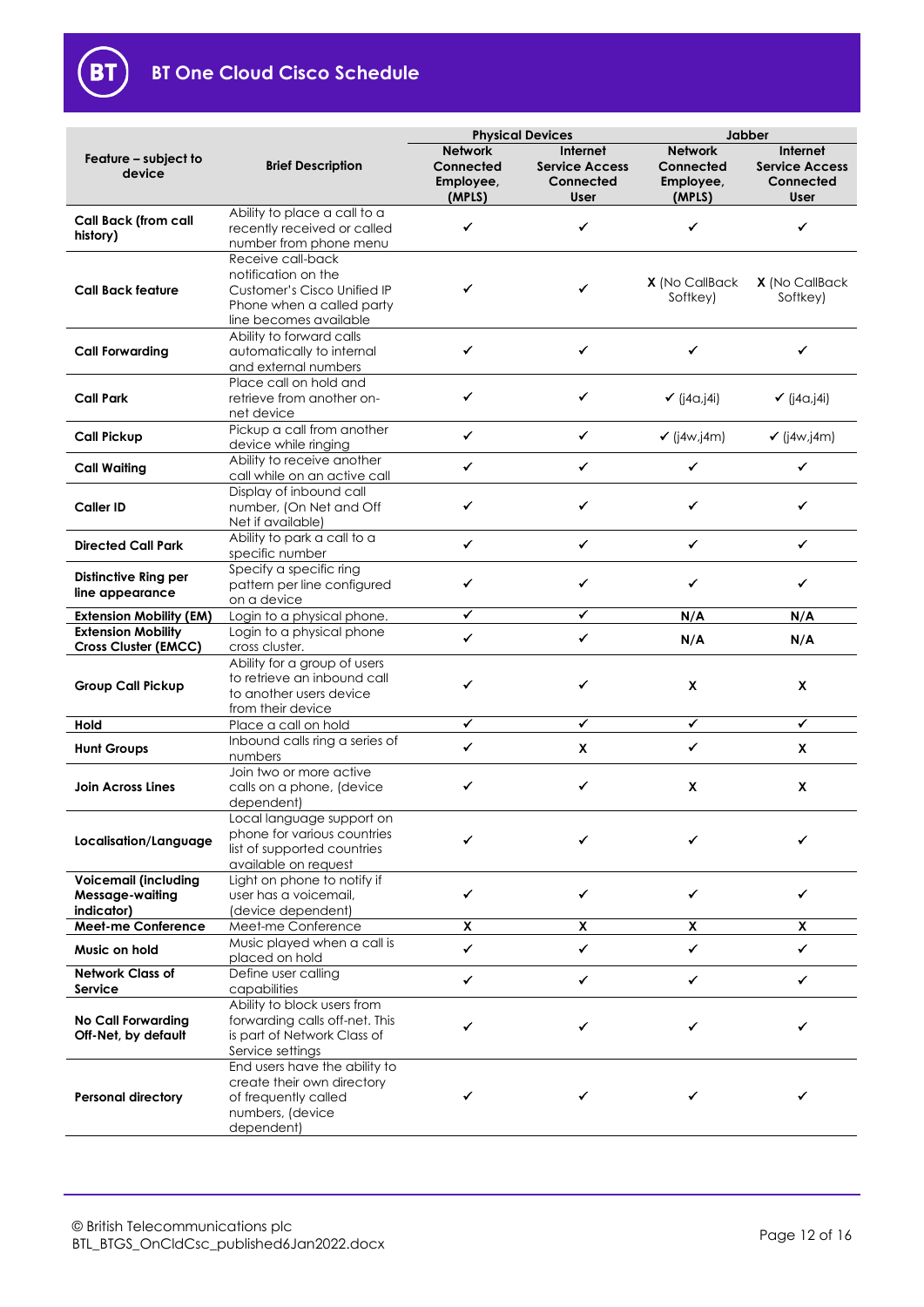

# **BT One Cloud Cisco Schedule**

|                                                              |                                                                                                                                | <b>Physical Devices</b>                            |                                                               | Jabber                                             |                                                        |
|--------------------------------------------------------------|--------------------------------------------------------------------------------------------------------------------------------|----------------------------------------------------|---------------------------------------------------------------|----------------------------------------------------|--------------------------------------------------------|
| Feature - subject to<br>device                               | <b>Brief Description</b>                                                                                                       | <b>Network</b><br>Connected<br>Employee,<br>(MPLS) | <b>Internet</b><br><b>Service Access</b><br>Connected<br>User | <b>Network</b><br>Connected<br>Employee,<br>(MPLS) | Internet<br><b>Service Access</b><br>Connected<br>User |
| <b>Call Back (from call</b><br>history)                      | Ability to place a call to a<br>recently received or called<br>number from phone menu                                          | ✔                                                  | ✔                                                             | ✓                                                  | ✓                                                      |
| <b>Call Back feature</b>                                     | Receive call-back<br>notification on the<br>Customer's Cisco Unified IP<br>Phone when a called party<br>line becomes available | ✔                                                  | ✔                                                             | X (No CallBack<br>Softkey)                         | X (No CallBack<br>Softkey)                             |
| <b>Call Forwarding</b>                                       | Ability to forward calls<br>automatically to internal<br>and external numbers                                                  | ✔                                                  | ✔                                                             | ✓                                                  | ✓                                                      |
| <b>Call Park</b>                                             | Place call on hold and<br>retrieve from another on-<br>net device                                                              | ✓                                                  | ✓                                                             | $\checkmark$ (j4a,j4i)                             | $\checkmark$ (j4a,j4i)                                 |
| <b>Call Pickup</b>                                           | Pickup a call from another<br>device while ringing                                                                             | $\checkmark$                                       | ✓                                                             | $\checkmark$ (j4w,j4m)                             | $\checkmark$ (j4w,j4m)                                 |
| <b>Call Waiting</b>                                          | Ability to receive another<br>call while on an active call                                                                     | ✓                                                  | ✔                                                             | ✓                                                  | ✔                                                      |
| <b>Caller ID</b>                                             | Display of inbound call<br>number, (On Net and Off<br>Net if available)                                                        | ✓                                                  | ✔                                                             | ✔                                                  | ✓                                                      |
| <b>Directed Call Park</b>                                    | Ability to park a call to a<br>specific number                                                                                 | ✓                                                  | ✓                                                             | ✓                                                  | ✓                                                      |
| <b>Distinctive Ring per</b><br>line appearance               | Specify a specific ring<br>pattern per line configured<br>on a device                                                          | ✓                                                  | ✔                                                             | ✓                                                  | ✓                                                      |
| <b>Extension Mobility (EM)</b>                               | Login to a physical phone.                                                                                                     | $\checkmark$                                       | ✔                                                             | N/A                                                | N/A                                                    |
| <b>Extension Mobility</b>                                    | Login to a physical phone<br>cross cluster.                                                                                    | ✓                                                  | ✓                                                             | N/A                                                | N/A                                                    |
| <b>Cross Cluster (EMCC)</b><br><b>Group Call Pickup</b>      | Ability for a group of users<br>to retrieve an inbound call<br>to another users device<br>from their device                    | ✔                                                  | ✔                                                             | X                                                  | X                                                      |
| Hold                                                         | Place a call on hold                                                                                                           | ✔                                                  | ✔                                                             | ✓                                                  | ✔                                                      |
| <b>Hunt Groups</b>                                           | Inbound calls ring a series of<br>numbers                                                                                      | ✓                                                  | X                                                             | ✔                                                  | X                                                      |
| <b>Join Across Lines</b>                                     | Join two or more active<br>calls on a phone, (device<br>dependent)                                                             | ✔                                                  | ✔                                                             | X                                                  | X                                                      |
| Localisation/Language                                        | Local language support on<br>phone for various countries<br>list of supported countries<br>available on request                |                                                    |                                                               |                                                    |                                                        |
| <b>Voicemail (including</b><br>Message-waiting<br>indicator) | Light on phone to notify if<br>user has a voicemail,<br>(device dependent)                                                     | ✔                                                  | ✓                                                             | ✔                                                  | ✓                                                      |
| <b>Meet-me Conference</b>                                    | Meet-me Conference                                                                                                             | $\overline{\mathbf{x}}$                            | X                                                             | X                                                  | X                                                      |
| Music on hold                                                | Music played when a call is<br>placed on hold                                                                                  | $\checkmark$                                       | ✓                                                             | ✓                                                  | $\checkmark$                                           |
| <b>Network Class of</b><br>Service                           | Define user calling<br>capabilities                                                                                            | ✓                                                  | ✓                                                             | ✓                                                  | ✓                                                      |
| <b>No Call Forwarding</b><br>Off-Net, by default             | Ability to block users from<br>forwarding calls off-net. This<br>is part of Network Class of<br>Service settings               |                                                    |                                                               |                                                    | ✔                                                      |
| <b>Personal directory</b>                                    | End users have the ability to<br>create their own directory<br>of frequently called<br>numbers, (device<br>dependent)          |                                                    |                                                               |                                                    |                                                        |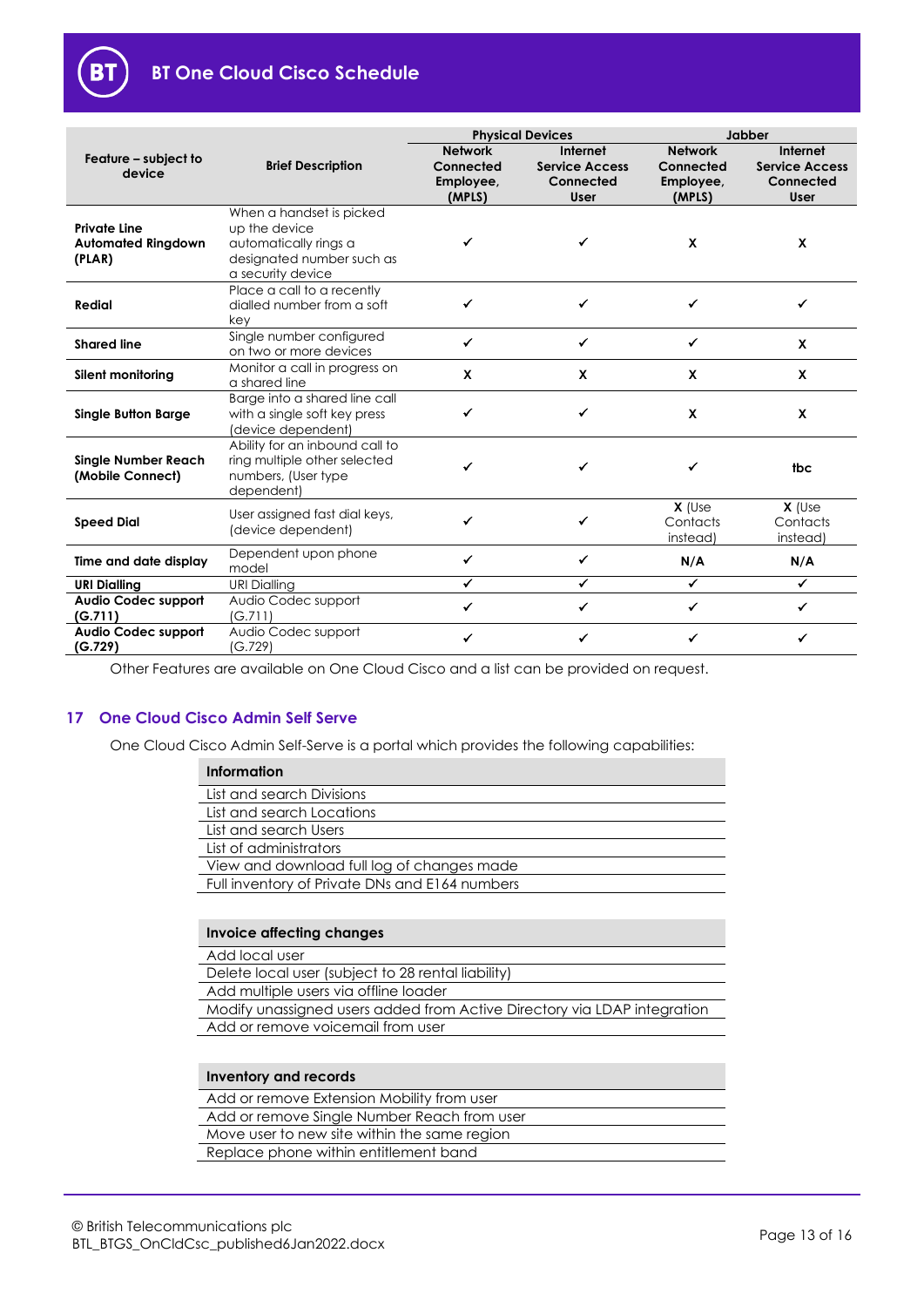

|                                                            |                                                                                                                      | <b>Physical Devices</b>                            |                                                                      | Jabber                                             |                                                               |
|------------------------------------------------------------|----------------------------------------------------------------------------------------------------------------------|----------------------------------------------------|----------------------------------------------------------------------|----------------------------------------------------|---------------------------------------------------------------|
| Feature – subject to<br>device                             | <b>Brief Description</b>                                                                                             | <b>Network</b><br>Connected<br>Employee,<br>(MPLS) | <b>Internet</b><br><b>Service Access</b><br>Connected<br><b>User</b> | <b>Network</b><br>Connected<br>Employee,<br>(MPLS) | Internet<br><b>Service Access</b><br>Connected<br><b>User</b> |
| <b>Private Line</b><br><b>Automated Ringdown</b><br>(PLAR) | When a handset is picked<br>up the device<br>automatically rings a<br>designated number such as<br>a security device |                                                    | ✓                                                                    | $\mathbf x$                                        | X                                                             |
| <b>Redial</b>                                              | Place a call to a recently<br>dialled number from a soft<br>key                                                      |                                                    | ✔                                                                    |                                                    | ✔                                                             |
| <b>Shared line</b>                                         | Single number configured<br>on two or more devices                                                                   | ✔                                                  | ✔                                                                    | ✔                                                  | X                                                             |
| Silent monitoring                                          | Monitor a call in progress on<br>a shared line                                                                       | X                                                  | X                                                                    | X                                                  | X                                                             |
| <b>Single Button Barge</b>                                 | Barge into a shared line call<br>with a single soft key press<br>(device dependent)                                  | ✔                                                  | ✓                                                                    | $\mathbf x$                                        | X                                                             |
| <b>Single Number Reach</b><br>(Mobile Connect)             | Ability for an inbound call to<br>ring multiple other selected<br>numbers, (User type<br>dependent)                  | ✔                                                  | ✔                                                                    | ✓                                                  | tbc                                                           |
| <b>Speed Dial</b>                                          | User assigned fast dial keys,<br>(device dependent)                                                                  |                                                    | ✔                                                                    | $X$ (Use<br>Contacts<br>instead)                   | $X$ (Use<br>Contacts<br>instead)                              |
| Time and date display                                      | Dependent upon phone<br>model                                                                                        | ✔                                                  | ✔                                                                    | N/A                                                | N/A                                                           |
| <b>URI Dialling</b>                                        | <b>URI Dialling</b>                                                                                                  | ✔                                                  | ✔                                                                    | ✔                                                  | $\checkmark$                                                  |
| <b>Audio Codec support</b><br>(G.711)                      | Audio Codec support<br>(G.711)                                                                                       |                                                    | ✔                                                                    | ✔                                                  | ✔                                                             |
| <b>Audio Codec support</b><br>(G.729)                      | Audio Codec support<br>(G.729)                                                                                       |                                                    | ✓                                                                    | ✔                                                  | ✔                                                             |

Other Features are available on One Cloud Cisco and a list can be provided on request.

# <span id="page-12-0"></span>**17 One Cloud Cisco Admin Self Serve**

One Cloud Cisco Admin Self-Serve is a portal which provides the following capabilities:

| Information                                    |
|------------------------------------------------|
| List and search Divisions                      |
| List and search Locations                      |
| List and search Users                          |
| List of administrators                         |
| View and download full log of changes made     |
| Full inventory of Private DNs and E164 numbers |
|                                                |

# **Invoice affecting changes**

# Add local user

Delete local user (subject to 28 rental liability)

- Add multiple users via offline loader
- Modify unassigned users added from Active Directory via LDAP integration Add or remove voicemail from user

# **Inventory and records**

- Add or remove Extension Mobility from user
- Add or remove Single Number Reach from user
- Move user to new site within the same region
- Replace phone within entitlement band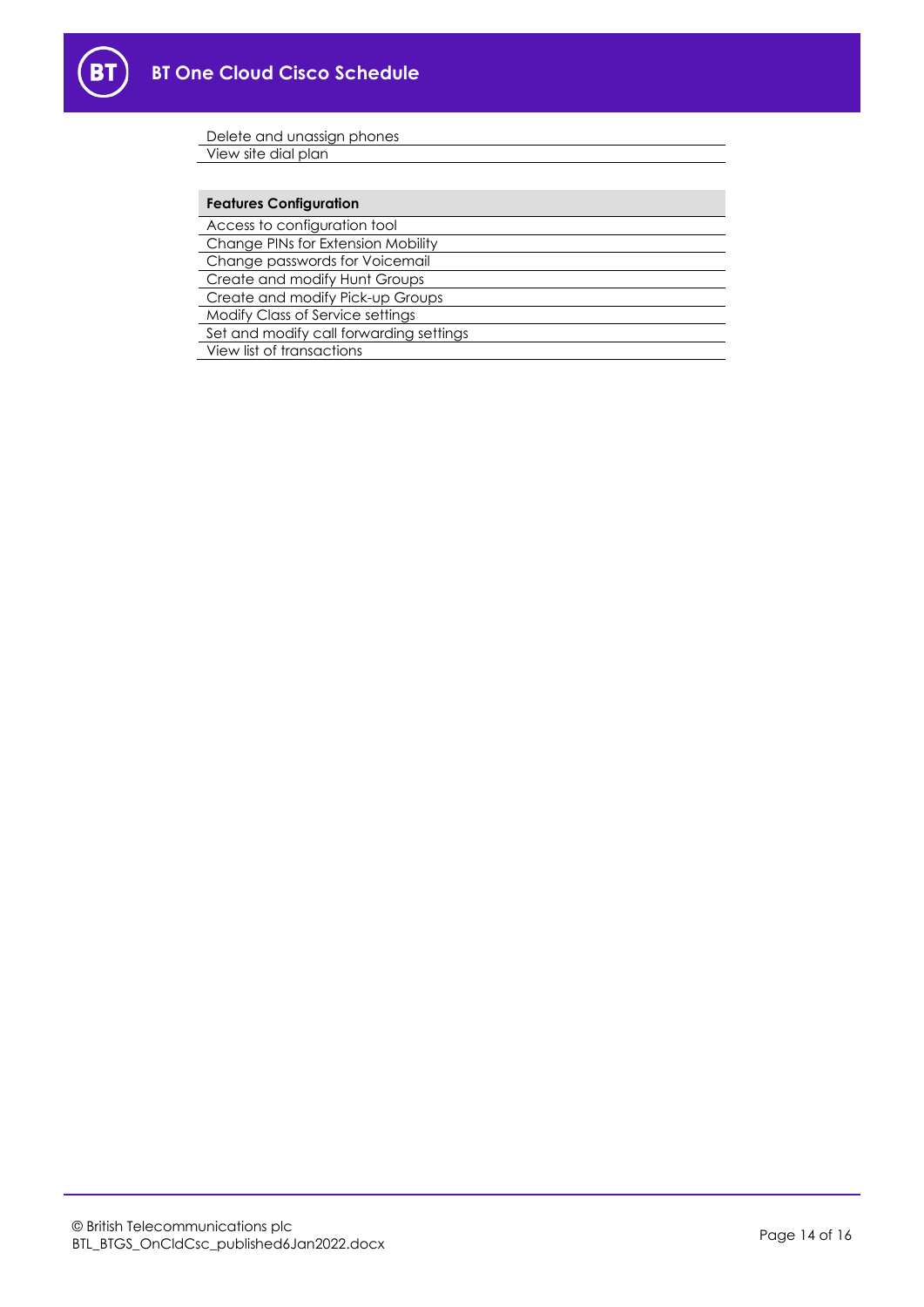

| Delete and unassign phones              |
|-----------------------------------------|
| View site dial plan                     |
|                                         |
| <b>Features Configuration</b>           |
| Access to configuration tool            |
| Change PINs for Extension Mobility      |
| Change passwords for Voicemail          |
| Create and modify Hunt Groups           |
| Create and modify Pick-up Groups        |
| Modify Class of Service settings        |
| Set and modify call forwarding settings |
| View list of transactions               |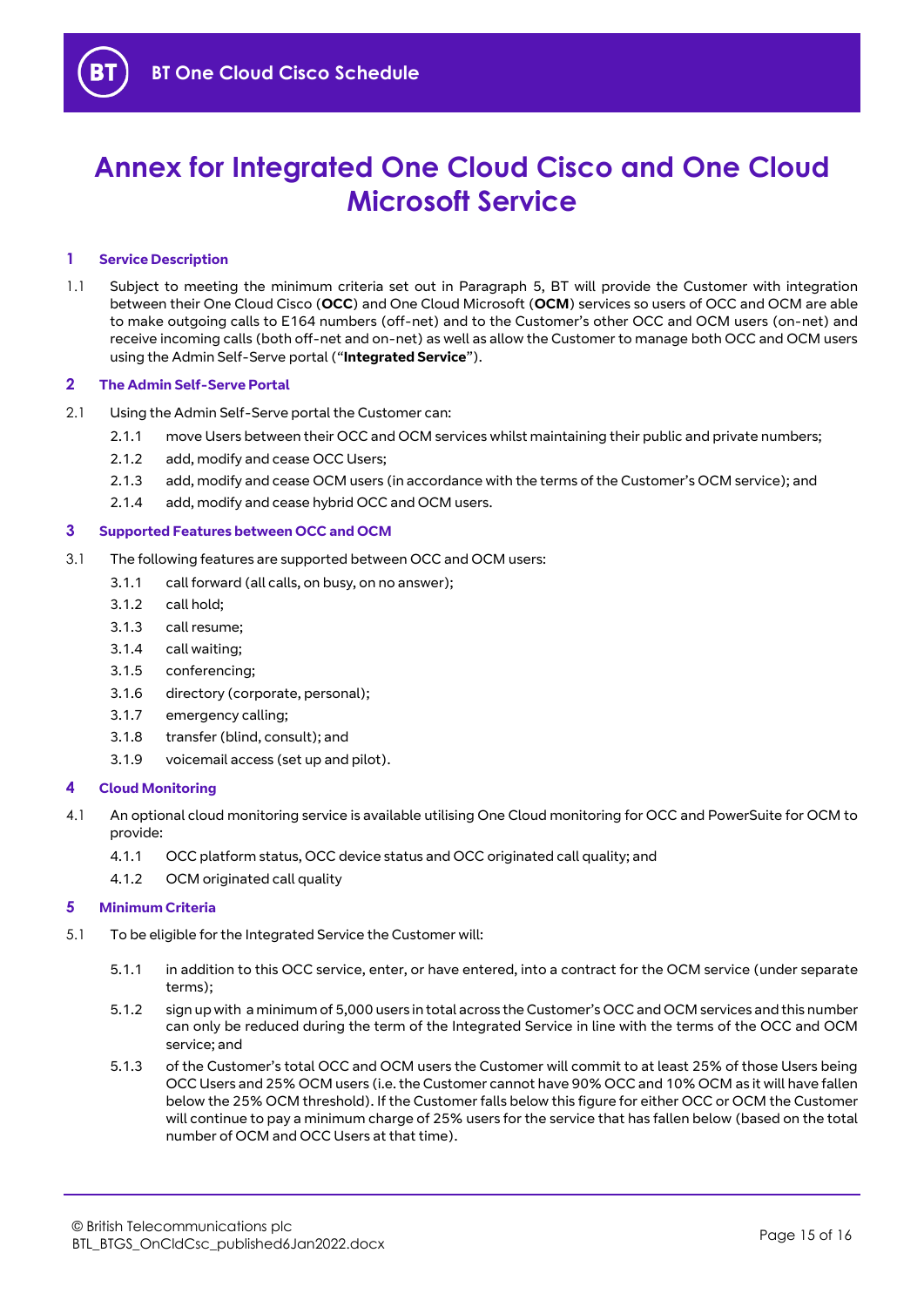# **Annex for Integrated One Cloud Cisco and One Cloud Microsoft Service**

#### **1 Service Description**

1.1 Subject to meeting the minimum criteria set out in Paragraph [5,](#page-14-0) BT will provide the Customer with integration between their One Cloud Cisco (**OCC**) and One Cloud Microsoft (**OCM**) services so users of OCC and OCM are able to make outgoing calls to E164 numbers (off-net) and to the Customer's other OCC and OCM users (on-net) and receive incoming calls (both off-net and on-net) as well as allow the Customer to manage both OCC and OCM users using the Admin Self-Serve portal ("**Integrated Service**").

#### **2 The Admin Self-Serve Portal**

- 2.1 Using the Admin Self-Serve portal the Customer can:
	- 2.1.1 move Users between their OCC and OCM services whilst maintaining their public and private numbers;
	- 2.1.2 add, modify and cease OCC Users;
	- 2.1.3 add, modify and cease OCM users (in accordance with the terms of the Customer's OCM service); and
	- 2.1.4 add, modify and cease hybrid OCC and OCM users.

#### **3 Supported Features between OCC and OCM**

- 3.1 The following features are supported between OCC and OCM users:
	- 3.1.1 call forward (all calls, on busy, on no answer);
	- 3.1.2 call hold;
	- 3.1.3 call resume;
	- 3.1.4 call waiting;
	- 3.1.5 conferencing;
	- 3.1.6 directory (corporate, personal);
	- 3.1.7 emergency calling;
	- 3.1.8 transfer (blind, consult); and
	- 3.1.9 voicemail access (set up and pilot).

#### **4 Cloud Monitoring**

- 4.1 An optional cloud monitoring service is available utilising One Cloud monitoring for OCC and PowerSuite for OCM to provide:
	- 4.1.1 OCC platform status, OCC device status and OCC originated call quality; and
	- 4.1.2 OCM originated call quality

#### <span id="page-14-0"></span>**5 Minimum Criteria**

- <span id="page-14-3"></span><span id="page-14-2"></span><span id="page-14-1"></span>5.1 To be eligible for the Integrated Service the Customer will:
	- 5.1.1 in addition to this OCC service, enter, or have entered, into a contract for the OCM service (under separate terms);
	- 5.1.2 sign up with a minimum of 5,000 users in total across the Customer's OCC and OCM services and this number can only be reduced during the term of the Integrated Service in line with the terms of the OCC and OCM service; and
	- 5.1.3 of the Customer's total OCC and OCM users the Customer will commit to at least 25% of those Users being OCC Users and 25% OCM users (i.e. the Customer cannot have 90% OCC and 10% OCM as it will have fallen below the 25% OCM threshold). If the Customer falls below this figure for either OCC or OCM the Customer will continue to pay a minimum charge of 25% users for the service that has fallen below (based on the total number of OCM and OCC Users at that time).